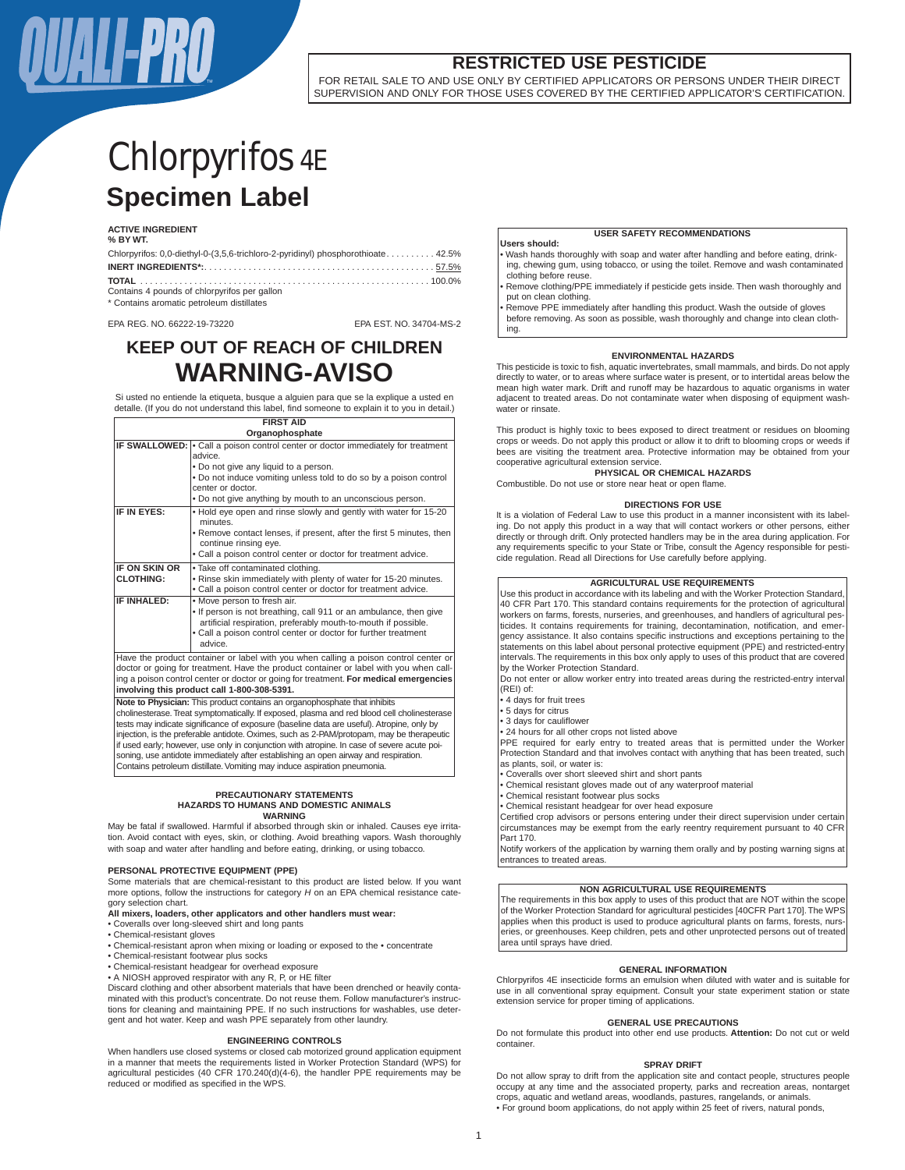

FOR RETAIL SALE TO AND USE ONLY BY CERTIFIED APPLICATORS OR PERSONS UNDER THEIR DIRECT SUPERVISION AND ONLY FOR THOSE USES COVERED BY THE CERTIFIED APPLICATOR'S CERTIFICATION.

# **Specimen Label** Chlorpyrifos 4E

# **ACTIVE INGREDIENT**

**% BY WT.**

| Chlorpyrifos: 0,0-diethyl-0-(3,5,6-trichloro-2-pyridinyl) phosphorothioate 42.5% |
|----------------------------------------------------------------------------------|
|                                                                                  |
|                                                                                  |
| Contains 4 pounds of chlorpyrifos per gallon                                     |
| * Contains aromatic petroleum distillates                                        |

EPA REG. NO. 66222-19-73220 EPA EST. NO. 34704-MS-2

# **KEEP OUT OF REACH OF CHILDREN WARNING-AVISO**

Si usted no entiende la etiqueta, busque a alguien para que se la explique a usted en detalle. (If you do not understand this label, find someone to explain it to you in detail.)

| <b>FIRST AID</b> |                                                                                                                                                                                                                                                                                                                                                                                                                                                                                                                                                                                     |  |  |  |
|------------------|-------------------------------------------------------------------------------------------------------------------------------------------------------------------------------------------------------------------------------------------------------------------------------------------------------------------------------------------------------------------------------------------------------------------------------------------------------------------------------------------------------------------------------------------------------------------------------------|--|--|--|
| Organophosphate  |                                                                                                                                                                                                                                                                                                                                                                                                                                                                                                                                                                                     |  |  |  |
|                  | IF SWALLOWED: • Call a poison control center or doctor immediately for treatment                                                                                                                                                                                                                                                                                                                                                                                                                                                                                                    |  |  |  |
|                  | advice.                                                                                                                                                                                                                                                                                                                                                                                                                                                                                                                                                                             |  |  |  |
|                  | . Do not give any liquid to a person.                                                                                                                                                                                                                                                                                                                                                                                                                                                                                                                                               |  |  |  |
|                  | . Do not induce vomiting unless told to do so by a poison control<br>center or doctor.                                                                                                                                                                                                                                                                                                                                                                                                                                                                                              |  |  |  |
|                  | . Do not give anything by mouth to an unconscious person.                                                                                                                                                                                                                                                                                                                                                                                                                                                                                                                           |  |  |  |
| IF IN EYES:      | . Hold eye open and rinse slowly and gently with water for 15-20<br>minutes.                                                                                                                                                                                                                                                                                                                                                                                                                                                                                                        |  |  |  |
|                  | • Remove contact lenses, if present, after the first 5 minutes, then<br>continue rinsing eye.                                                                                                                                                                                                                                                                                                                                                                                                                                                                                       |  |  |  |
|                  | . Call a poison control center or doctor for treatment advice.                                                                                                                                                                                                                                                                                                                                                                                                                                                                                                                      |  |  |  |
| IF ON SKIN OR    | . Take off contaminated clothing.                                                                                                                                                                                                                                                                                                                                                                                                                                                                                                                                                   |  |  |  |
| <b>CLOTHING:</b> | . Rinse skin immediately with plenty of water for 15-20 minutes.                                                                                                                                                                                                                                                                                                                                                                                                                                                                                                                    |  |  |  |
|                  | . Call a poison control center or doctor for treatment advice.                                                                                                                                                                                                                                                                                                                                                                                                                                                                                                                      |  |  |  |
| IF INHALED:      | • Move person to fresh air.<br>. If person is not breathing, call 911 or an ambulance, then give                                                                                                                                                                                                                                                                                                                                                                                                                                                                                    |  |  |  |
|                  | artificial respiration, preferably mouth-to-mouth if possible.<br>• Call a poison control center or doctor for further treatment                                                                                                                                                                                                                                                                                                                                                                                                                                                    |  |  |  |
| $\sim$ 1         | advice.<br>$\mathcal{L} = \mathcal{L} \times \mathcal{L} = \mathcal{L} \times \mathcal{L} = \mathcal{L} \times \mathcal{L} = \mathcal{L} \times \mathcal{L} = \mathcal{L} \times \mathcal{L} = \mathcal{L} \times \mathcal{L} = \mathcal{L} \times \mathcal{L} = \mathcal{L} \times \mathcal{L} = \mathcal{L} \times \mathcal{L} = \mathcal{L} \times \mathcal{L} = \mathcal{L} \times \mathcal{L} = \mathcal{L} \times \mathcal{L} = \mathcal{L} \times \mathcal{L} = \mathcal{L} \times \mathcal{L} = \mathcal$<br>the contract of the contract of<br>$\sim$ $\sim$ $\sim$ $\sim$ |  |  |  |

Have the product container or label with you when calling a poison control center or doctor or going for treatment. Have the product container or label with you when calling a poison control center or doctor or going for treatment. **For medical emergencies involving this product call 1-800-308-5391.**

**Note to Physician:** This product contains an organophosphate that inhibits cholinesterase. Treat symptomatically. If exposed, plasma and red blood cell choline ests may indicate significance of exposure (baseline data are useful). Atropine, only by injection, is the preferable antidote. Oximes, such as 2-PAM/protopam, may be therapeutic f used early; however, use only in conjunction with atropine. In case of severe acute poisoning, use antidote immediately after establishing an open airway and respiration. Contains petroleum distillate. Vomiting may induce aspiration pneumonia.

## **PRECAUTIONARY STATEMENTS HAZARDS TO HUMANS AND DOMESTIC ANIMALS WARNING**

May be fatal if swallowed. Harmful if absorbed through skin or inhaled. Causes eye irritation. Avoid contact with eyes, skin, or clothing. Avoid breathing vapors. Wash thoroughly with soap and water after handling and before eating, drinking, or using tobacco.

# **PERSONAL PROTECTIVE EQUIPMENT (PPE)**

Some materials that are chemical-resistant to this product are listed below. If you want more options, follow the instructions for category  $H$  on an EPA chemical resistance category selection chart.

# **All mixers, loaders, other applicators and other handlers must wear:**

• Coveralls over long-sleeved shirt and long pants

- Chemical-resistant gloves
- Chemical-resistant apron when mixing or loading or exposed to the concentrate
- Chemical-resistant footwear plus socks
- Chemical-resistant headgear for overhead exposure
- A NIOSH approved respirator with any R, P, or HE filter

Discard clothing and other absorbent materials that have been drenched or heavily contaminated with this product's concentrate. Do not reuse them. Follow manufacturer's instructions for cleaning and maintaining PPE. If no such instructions for washables, use detergent and hot water. Keep and wash PPE separately from other laundry.

# **ENGINEERING CONTROLS**

When handlers use closed systems or closed cab motorized ground application equipment in a manner that meets the requirements listed in Worker Protection Standard (WPS) for agricultural pesticides (40 CFR 170.240(d)(4-6), the handler PPE requirements may be reduced or modified as specified in the WPS.

# **USER SAFETY RECOMMENDATIONS**

- **Users should:** • Wash hands thoroughly with soap and water after handling and before eating, drinking, chewing gum, using tobacco, or using the toilet. Remove and wash cont clothing before reuse.
- Remove clothing/PPE immediately if pesticide gets inside. Then wash thoroughly and put on clean clothing.
- Remove PPE immediately after handling this product. Wash the outside of gloves
- before removing. As soon as possible, wash thoroughly and change into clean clothing.

# **ENVIRONMENTAL HAZARDS**

This pesticide is toxic to fish, aquatic invertebrates, small mammals, and birds. Do not apply directly to water, or to areas where surface water is present, or to intertidal areas below the mean high water mark. Drift and runoff may be hazardous to aquatic organisms in water adjacent to treated areas. Do not contaminate water when disposing of equipment washwater or rinsate

This product is highly toxic to bees exposed to direct treatment or residues on blooming crops or weeds. Do not apply this product or allow it to drift to blooming crops or weeds if bees are visiting the treatment area. Protective information may be obtained from your cooperative agricultural extension service.

**PHYSICAL OR CHEMICAL HAZARDS** Combustible. Do not use or store near heat or open fla

# **DIRECTIONS FOR USE**

It is a violation of Federal Law to use this product in a manner inconsistent with its labeling. Do not apply this product in a way that will contact workers or other persons, either directly or through drift. Only protected handlers may be in the area during application. For any requirements specific to your State or Tribe, consult the Agency responsible for pesti-<br>any requirements specific to your State or Tribe, consult the Agency responsible for pesticide regulation. Read all Directions for Use carefully before applying.

# **AGRICULTURAL USE REQUIREMENTS**

Use this product in accordance with its labeling and with the Worker Protection Standard, 40 CFR Part 170. This standard contains requirements for the protection of agricultural workers on farms, forests, nurseries, and greenhouses, and handlers of agricultural pesticides. It contains requirements for training, decontamination, notification, and emergency assistance. It also contains specific instructions and exceptions pertaining to the statements on this label about personal protective equipment (PPE) and restricted-entry intervals. The requirements in this box only apply to uses of this product that are covered by the Worker Protection Standard.

Do not enter or allow worker entry into treated areas during the restricted-entry interval (REI) of:

- 4 days for fruit trees
- 5 days for citrus
- 3 days for cauliflower
- 24 hours for all other crops not listed above

PPE required for early entry to treated areas that is permitted under the Worker Protection Standard and that involves contact with anything that has been treated, such as plants, soil, or water is:

- Coveralls over short sleeved shirt and short pants
- Chemical resistant gloves made out of any waterproof material
- Chemical resistant footwear plus socks
- Chemical resistant headgear for over head exposure

Certified crop advisors or persons entering under their direct supervision under certain circumstances may be exempt from the early reentry requirement pursuant to 40 CFR Part 170.

Notify workers of the application by warning them orally and by posting warning signs at entrances to treated areas.

# **NON AGRICULTURAL USE REQUIREMENTS**

The requirements in this box apply to uses of this product that are NOT within the scope of the Worker Protection Standard for agricultural pesticides [40CFR Part 170]. The WPS applies when this product is used to produce agricultural plants on farms, forests, nurseries, or greenhouses. Keep children, pets and other unprotected persons out of treated area until sprays have dried.

# **GENERAL INFORMATION**

Chlorpyrifos 4E insecticide forms an emulsion when diluted with water and is suitable for use in all conventional spray equipment. Consult your state experiment station or state extension service for proper timing of applications.

# **GENERAL USE PRECAUTIONS**

Do not formulate this product into other end use products. **Attention:** Do not cut or weld container.

# **SPRAY DRIFT**

Do not allow spray to drift from the application site and contact people, structures people occupy at any time and the associated property, parks and recreation areas, nontarget crops, aquatic and wetland areas, woodlands, pastures, rangelands, or animals. • For ground boom applications, do not apply within 25 feet of rivers, natural ponds,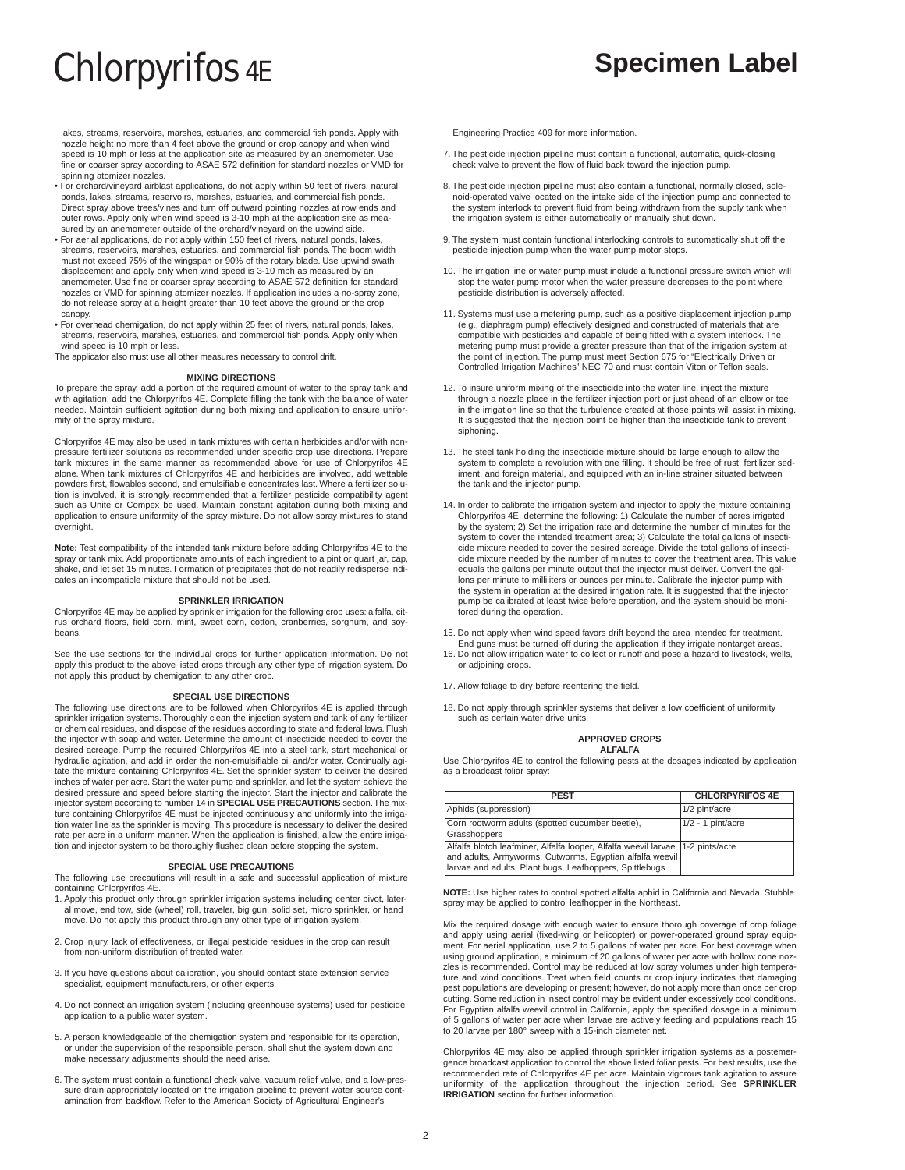lakes, streams, reservoirs, marshes, estuaries, and commercial fish ponds. Apply with nozzle height no more than 4 feet above the ground or crop canopy and when wind speed is 10 mph or less at the application site as measured by an anemometer. Use fine or coarser spray according to ASAE 572 definition for standard nozzles or VMD for spinning atomizer nozzles.

- For orchard/vineyard airblast applications, do not apply within 50 feet of rivers, natural ponds, lakes, streams, reservoirs, marshes, estuaries, and commercial fish ponds. Direct spray above trees/vines and turn off outward pointing nozzles at row ends and outer rows. Apply only when wind speed is 3-10 mph at the application site as measured by an anemometer outside of the orchard/vineyard on the upwind side.
- For aerial applications, do not apply within 150 feet of rivers, natural ponds, lakes, streams, reservoirs, marshes, estuaries, and commercial fish ponds. The boom width must not exceed 75% of the wingspan or 90% of the rotary blade. Use upwind swath displacement and apply only when wind speed is 3-10 mph as measured by an anemometer. Use fine or coarser spray according to ASAE 572 definition for standard nozzles or VMD for spinning atomizer nozzles. If application includes a no-spray zone, do not release spray at a height greater than 10 feet above the ground or the crop canopy.
- For overhead chemigation, do not apply within 25 feet of rivers, natural ponds, lakes, streams, reservoirs, marshes, estuaries, and commercial fish ponds. Apply only when wind speed is 10 mph or less.

The applicator also must use all other measures necessary to control drift.

# **MIXING DIRECTIONS**

To prepare the spray, add a portion of the required amount of water to the spray tank and with agitation, add the Chlorpyrifos 4E. Complete filling the tank with the balance of water needed. Maintain sufficient agitation during both mixing and application to ensure uniformity of the spray mixture.

Chlorpyrifos 4E may also be used in tank mixtures with certain herbicides and/or with nonpressure fertilizer solutions as recommended under specific crop use directions. Prepare tank mixtures in the same manner as recommended above for use of Chlorpyrifos 4E alone. When tank mixtures of Chlorpyrifos 4E and herbicides are involved, add wettable powders first, flowables second, and emulsifiable concentrates last. Where a fertilizer solution is involved, it is strongly recommended that a fertilizer pesticide compatibility agent such as Unite or Compex be used. Maintain constant agitation during both mixing and application to ensure uniformity of the spray mixture. Do not allow spray mixtures to stand overnight.

**Note:** Test compatibility of the intended tank mixture before adding Chlorpyrifos 4E to the spray or tank mix. Add proportionate amounts of each ingredient to a pint or quart jar, cap, shake, and let set 15 minutes. Formation of precipitates that do not readily redisperse indicates an incompatible mixture that should not be used.

# **SPRINKLER IRRIGATION**

Chlorpyrifos 4E may be applied by sprinkler irrigation for the following crop uses: alfalfa, citrus orchard floors, field corn, mint, sweet corn, cotton, cranberries, sorghum, and soybeans.

See the use sections for the individual crops for further application information. Do not apply this product to the above listed crops through any other type of irrigation system. Do not apply this product by chemigation to any other crop.

# **SPECIAL USE DIRECTIONS**

The following use directions are to be followed when Chlorpyrifos 4E is applied through sprinkler irrigation systems. Thoroughly clean the injection system and tank of any fertilizer or chemical residues, and dispose of the residues according to state and federal laws. Flush the injector with soap and water. Determine the amount of insecticide needed to cover the desired acreage. Pump the required Chlorpyrifos 4E into a steel tank, start mechanical or hydraulic agitation, and add in order the non-emulsifiable oil and/or water. Continually agitate the mixture containing Chlorpyrifos 4E. Set the sprinkler system to deliver the desired inches of water per acre. Start the water pump and sprinkler, and let the system achieve the desired pressure and speed before starting the injector. Start the injector and calibrate the injector system according to number 14 in **SPECIAL USE PRECAUTIONS** section.The mixture containing Chlorpyrifos 4E must be injected continuously and uniformly into the irrigation water line as the sprinkler is moving. This procedure is necessary to deliver the desired rate per acre in a uniform manner. When the application is finished, allow the entire irrigation and injector system to be thoroughly flushed clean before stopping the system.

# **SPECIAL USE PRECAUTIONS**

The following use precautions will result in a safe and successful application of mixture containing Chlorpyrifos 4E.

- 1. Apply this product only through sprinkler irrigation systems including center pivot, later-al move, end tow, side (wheel) roll, traveler, big gun, solid set, micro sprinkler, or hand move. Do not apply this product through any other type of irrigation system.
- 2. Crop injury, lack of effectiveness, or illegal pesticide residues in the crop can result from non-uniform distribution of treated water.
- 3. If you have questions about calibration, you should contact state extension service specialist, equipment manufacturers, or other experts.
- 4. Do not connect an irrigation system (including greenhouse systems) used for pesticide application to a public water system.
- 5. A person knowledgeable of the chemigation system and responsible for its operation, or under the supervision of the responsible person, shall shut the system down and make necessary adjustments should the need arise.
- 6. The system must contain a functional check valve, vacuum relief valve, and a low-pressure drain appropriately located on the irrigation pipeline to prevent water source contamination from backflow. Refer to the American Society of Agricultural Engineer's

Engineering Practice 409 for more information.

- 7. The pesticide injection pipeline must contain a functional, automatic, quick-closing check valve to prevent the flow of fluid back toward the injection pump.
- 8. The pesticide injection pipeline must also contain a functional, normally closed, solenoid-operated valve located on the intake side of the injection pump and connected to the system interlock to prevent fluid from being withdrawn from the supply tank when the irrigation system is either automatically or manually shut down.
- 9. The system must contain functional interlocking controls to automatically shut off the pesticide injection pump when the water pump motor stops.
- 10. The irrigation line or water pump must include a functional pressure switch which will stop the water pump motor when the water pressure decreases to the point where pesticide distribution is adversely affected.
- 11. Systems must use a metering pump, such as a positive displacement injection pump (e.g., diaphragm pump) effectively designed and constructed of materials that are compatible with pesticides and capable of being fitted with a system interlock. The metering pump must provide a greater pressure than that of the irrigation system at the point of injection. The pump must meet Section 675 for "Electrically Driven or Controlled Irrigation Machines" NEC 70 and must contain Viton or Teflon seals.
- 12. To insure uniform mixing of the insecticide into the water line, inject the mixture through a nozzle place in the fertilizer injection port or just ahead of an elbow or tee in the irrigation line so that the turbulence created at those points will assist in mixing. It is suggested that the injection point be higher than the insecticide tank to prevent siphoning.
- 13. The steel tank holding the insecticide mixture should be large enough to allow the system to complete a revolution with one filling. It should be free of rust, fertilizer sediment, and foreign material, and equipped with an in-line strainer situated between the tank and the injector pump.
- 14. In order to calibrate the irrigation system and injector to apply the mixture containing Chlorpyrifos 4E, determine the following: 1) Calculate the number of acres irrigated by the system; 2) Set the irrigation rate and determine the number of minutes for the system to cover the intended treatment area; 3) Calculate the total gallons of insecticide mixture needed to cover the desired acreage. Divide the total gallons of insecticide mixture needed by the number of minutes to cover the treatment area. This value equals the gallons per minute output that the injector must deliver. Convert the gallons per minute to milliliters or ounces per minute. Calibrate the injector pump with the system in operation at the desired irrigation rate. It is suggested that the injector pump be calibrated at least twice before operation, and the system should be monitored during the operation.
- 15. Do not apply when wind speed favors drift beyond the area intended for treatment.
- End guns must be turned off during the application if they irrigate nontarget areas. 16. Do not allow irrigation water to collect or runoff and pose a hazard to livestock, wells, or adjoining crops.
- 17. Allow foliage to dry before reentering the field.
- 18. Do not apply through sprinkler systems that deliver a low coefficient of uniformity such as certain water drive units.

## **APPROVED CROPS ALFALFA**

Use Chlorpyrifos 4E to control the following pests at the dosages indicated by application as a broadcast foliar spray:

| <b>PFST</b>                                                                                                                                                                                             | <b>CHLORPYRIFOS 4E</b> |
|---------------------------------------------------------------------------------------------------------------------------------------------------------------------------------------------------------|------------------------|
| Aphids (suppression)                                                                                                                                                                                    | 1/2 pint/acre          |
| Corn rootworm adults (spotted cucumber beetle),<br>Grasshoppers                                                                                                                                         | $1/2 - 1$ pint/acre    |
| Alfalfa blotch leafminer, Alfalfa looper, Alfalfa weevil larvae   1-2 pints/acre<br>and adults, Armyworms, Cutworms, Egyptian alfalfa weevil<br>larvae and adults, Plant bugs, Leafhoppers, Spittlebugs |                        |

**NOTE:** Use higher rates to control spotted alfalfa aphid in California and Nevada. Stubble spray may be applied to control leafhopper in the Northeast

Mix the required dosage with enough water to ensure thorough coverage of crop foliage and apply using aerial (fixed-wing or helicopter) or power-operated ground spray equipment. For aerial application, use 2 to 5 gallons of water per acre. For best coverage when using ground application, a minimum of 20 gallons of water per acre with hollow cone nozzles is recommended. Control may be reduced at low spray volumes under high temperature and wind conditions. Treat when field counts or crop injury indicates that damaging pest populations are developing or present; however, do not apply more than once per crop cutting. Some reduction in insect control may be evident under excessively cool conditions. For Egyptian alfalfa weevil control in California, apply the specified dosage in a minimum of 5 gallons of water per acre when larvae are actively feeding and populations reach 15 to 20 larvae per 180° sweep with a 15-inch diameter net.

Chlorpyrifos 4E may also be applied through sprinkler irrigation systems as a postemergence broadcast application to control the above listed foliar pests. For best results, use the recommended rate of Chlorpyrifos 4E per acre. Maintain vigorous tank agitation to assure uniformity of the application throughout the injection period. See **SPRINKLER IRRIGATION** section for further information.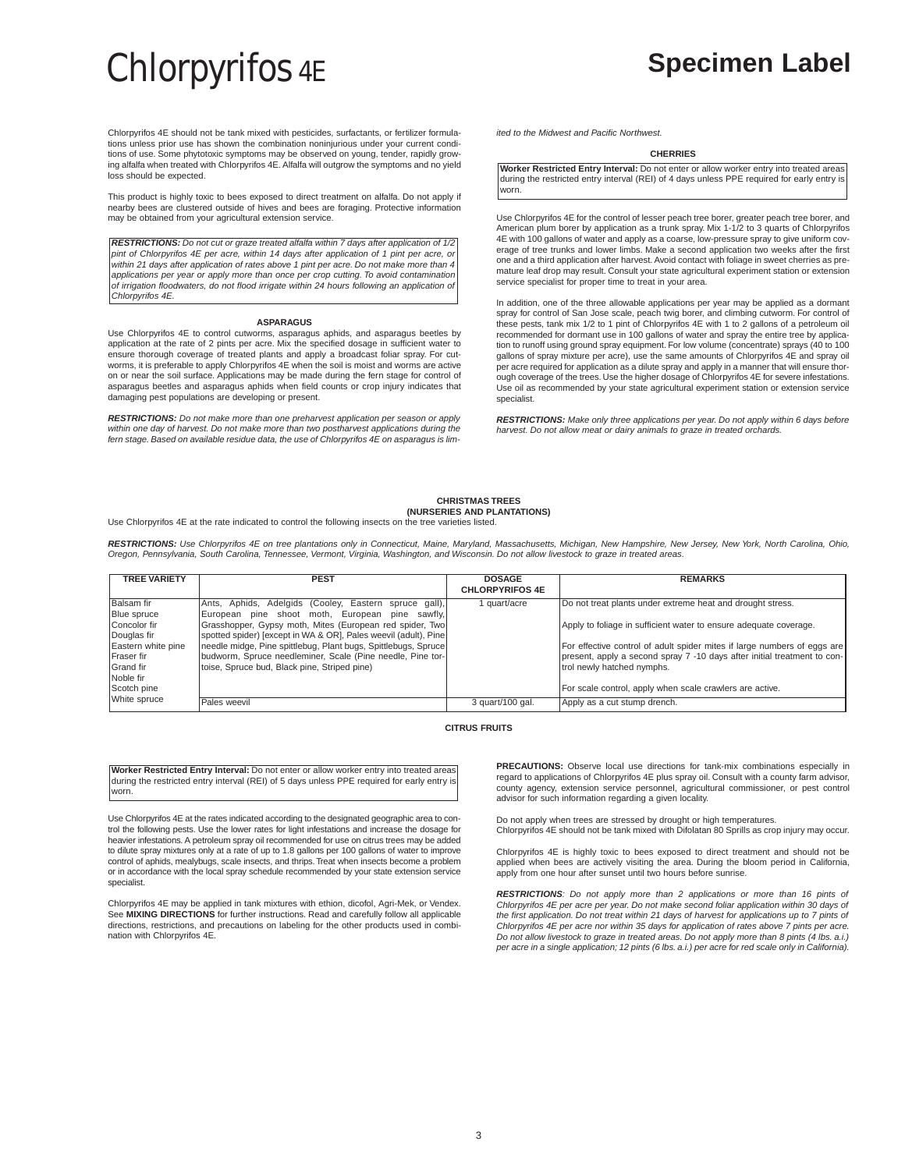Chlorpyrifos 4E should not be tank mixed with pesticides, surfactants, or fertilizer formulations unless prior use has shown the combination noninjurious under your current conditions of use. Some phytotoxic symptoms may be observed on young, tender, rapidly growing alfalfa when treated with Chlorpyrifos 4E. Alfalfa will outgrow the symptoms and no yield loss should be expected.

This product is highly toxic to bees exposed to direct treatment on alfalfa. Do not apply if nearby bees are clustered outside of hives and bees are foraging. Protective information may be obtained from your agricultural extension service.

**RESTRICTIONS:** Do not cut or graze treated alfalfa within 7 days after application of 1/2 pint of Chlorpyrifos 4E per acre, within 14 days after application of 1 pint per acre, or within 21 days after application of rates above 1 pint per acre. Do not make more than 4 applications per year or apply more than once per crop cutting. To avoid contamination of irrigation floodwaters, do not flood irrigate within 24 hours following an application of Chlorpyrifos 4E.

## **ASPARAGUS**

Use Chlorpyrifos 4E to control cutworms, asparagus aphids, and asparagus beetles by application at the rate of 2 pints per acre. Mix the specified dosage in sufficient water to ensure thorough coverage of treated plants and apply a broadcast foliar spray. For cutworms, it is preferable to apply Chlorpyrifos 4E when the soil is moist and worms are active on or near the soil surface. Applications may be made during the fern stage for control of asparagus beetles and asparagus aphids when field counts or crop injury indicates that damaging pest populations are developing or present.

**RESTRICTIONS:** Do not make more than one preharvest application per season or apply within one day of harvest. Do not make more than two postharvest applications during the fern stage. Based on available residue data, the use of Chlorpyrifos 4E on asparagus is limited to the Midwest and Pacific Northwest.

## **CHERRIES**

**Worker Restricted Entry Interval:** Do not enter or allow worker entry into treated areas during the restricted entry interval (REI) of 4 days unless PPE required for early entry is worn.

Use Chlorpyrifos 4E for the control of lesser peach tree borer, greater peach tree borer, and American plum borer by application as a trunk spray. Mix 1-1/2 to 3 quarts of Chlorpyrifos 4E with 100 gallons of water and apply as a coarse, low-pressure spray to give uniform coverage of tree trunks and lower limbs. Make a second application two weeks after the first one and a third application after harvest. Avoid contact with foliage in sweet cherries as premature leaf drop may result. Consult your state agricultural experiment station or extension service specialist for proper time to treat in your area.

In addition, one of the three allowable applications per year may be applied as a dormant spray for control of San Jose scale, peach twig borer, and climbing cutworm. For control of these pests, tank mix 1/2 to 1 pint of Chlorpyrifos 4E with 1 to 2 gallons of a petroleum oil recommended for dormant use in 100 gallons of water and spray the entire tree by application to runoff using ground spray equipment. For low volume (concentrate) sprays (40 to 100 gallons of spray mixture per acre), use the same amounts of Chlorpyrifos 4E and spray oil per acre required for application as a dilute spray and apply in a manner that will ensure thorough coverage of the trees. Use the higher dosage of Chlorpyrifos 4E for severe infestations. Use oil as recommended by your state agricultural experiment station or extension service specialist.

**RESTRICTIONS:** Make only three applications per year. Do not apply within 6 days before harvest. Do not allow meat or dairy animals to graze in treated orchards.

# **CHRISTMAS TREES (NURSERIES AND PLANTATIONS)**

Use Chlorpyrifos 4E at the rate indicated to control the following insects on the tree varieties listed.

**RESTRICTIONS:** Use Chlorpyrifos 4E on tree plantations only in Connecticut, Maine, Maryland, Massachusetts, Michigan, New Hampshire, New Jersey, New York, North Carolina, Ohio, Oregon, Pennsylvania, South Carolina, Tennessee, Vermont, Virginia, Washington, and Wisconsin. Do not allow livestock to graze in treated areas.

| <b>TREE VARIETY</b> | <b>PEST</b>                                                     | <b>DOSAGE</b><br><b>CHLORPYRIFOS 4E</b> | <b>REMARKS</b>                                                           |
|---------------------|-----------------------------------------------------------------|-----------------------------------------|--------------------------------------------------------------------------|
| <b>Balsam</b> fir   | Ants, Aphids, Adelgids (Cooley, Eastern spruce gall),           | quart/acre                              | Do not treat plants under extreme heat and drought stress.               |
| <b>Blue</b> spruce  | European pine shoot moth, European pine sawfly,                 |                                         |                                                                          |
| Concolor fir        | Grasshopper, Gypsy moth, Mites (European red spider, Two)       |                                         | Apply to foliage in sufficient water to ensure adequate coverage.        |
| Douglas fir         | spotted spider) [except in WA & OR], Pales weevil (adult), Pine |                                         |                                                                          |
| Eastern white pine  | needle midge, Pine spittlebug, Plant bugs, Spittlebugs, Spruce  |                                         | For effective control of adult spider mites if large numbers of eggs are |
| <b>IFraser</b> fir  | budworm, Spruce needleminer, Scale (Pine needle, Pine tor-      |                                         | present, apply a second spray 7 -10 days after initial treatment to con- |
| Grand fir           | toise, Spruce bud, Black pine, Striped pine)                    |                                         | trol newly hatched nymphs.                                               |
| Noble fir           |                                                                 |                                         |                                                                          |
| Scotch pine         |                                                                 |                                         | For scale control, apply when scale crawlers are active.                 |
| White spruce        | Pales weevil                                                    | 3 quart/100 gal.                        | Apply as a cut stump drench.                                             |

# **CITRUS FRUITS**

**Worker Restricted Entry Interval:** Do not enter or allow worker entry into treated areas during the restricted entry interval (REI) of 5 days unless PPE required for early entry is worn.

Use Chlorpyrifos 4E at the rates indicated according to the designated geographic area to control the following pests. Use the lower rates for light infestations and increase the dosage for heavier infestations. A petroleum spray oil recommended for use on citrus trees may be added to dilute spray mixtures only at a rate of up to 1.8 gallons per 100 gallons of water to improve control of aphids, mealybugs, scale insects, and thrips. Treat when insects become a problem or in accordance with the local spray schedule recommended by your state extension service specialist.

Chlorpyrifos 4E may be applied in tank mixtures with ethion, dicofol, Agri-Mek, or Vendex. See **MIXING DIRECTIONS** for further instructions. Read and carefully follow all applicable directions, restrictions, and precautions on labeling for the other products used in combination with Chlorpyrifos 4E.

**PRECAUTIONS:** Observe local use directions for tank-mix combinations especially in regard to applications of Chlorpyrifos 4E plus spray oil. Consult with a county farm advisor, county agency, extension service personnel, agricultural commissioner, or pest control advisor for such information regarding a given locality.

Do not apply when trees are stressed by drought or high temperatures.

Chlorpyrifos 4E should not be tank mixed with Difolatan 80 Sprills as crop injury may occur.

Chlorpyrifos 4E is highly toxic to bees exposed to direct treatment and should not be applied when bees are actively visiting the area. During the bloom period in California, apply from one hour after sunset until two hours before sunrise.

**RESTRICTIONS**: Do not apply more than 2 applications or more than 16 pints of Chlorpyrifos 4E per acre per year. Do not make second foliar application within 30 days of the first application. Do not treat within 21 days of harvest for applications up to 7 pints of Chlorpyrifos 4E per acre nor within 35 days for application of rates above 7 pints per acre. Do not allow livestock to graze in treated areas. Do not apply more than 8 pints (4 lbs. a.i.) per acre in a single application; 12 pints (6 lbs. a.i.) per acre for red scale only in California).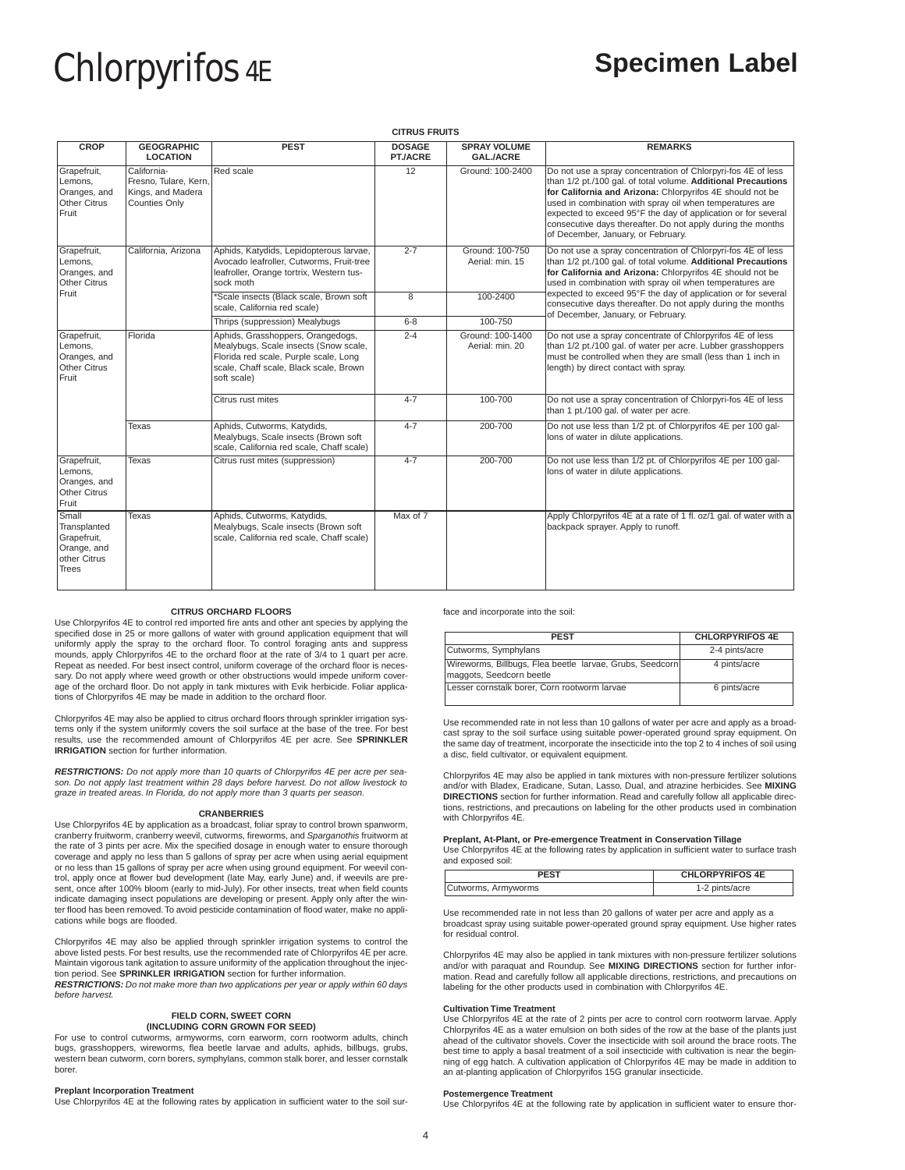# **CITRUS FRUITS**

| <b>CROP</b>                                                                  | <b>GEOGRAPHIC</b>                                                                 | <b>PEST</b>                                                                                                                                                                  | <b>DOSAGE</b>  | <b>SPRAY VOLUME</b>                 | <b>REMARKS</b>                                                                                                                                                                                                                                                                                                                                                                                                               |
|------------------------------------------------------------------------------|-----------------------------------------------------------------------------------|------------------------------------------------------------------------------------------------------------------------------------------------------------------------------|----------------|-------------------------------------|------------------------------------------------------------------------------------------------------------------------------------------------------------------------------------------------------------------------------------------------------------------------------------------------------------------------------------------------------------------------------------------------------------------------------|
|                                                                              | <b>LOCATION</b>                                                                   |                                                                                                                                                                              | PT./ACRE       | <b>GALJACRE</b>                     |                                                                                                                                                                                                                                                                                                                                                                                                                              |
| Grapefruit,<br>Lemons,<br>Oranges, and<br>Other Citrus<br>Fruit              | California-<br>Fresno, Tulare, Kern,<br>Kings, and Madera<br><b>Counties Only</b> | <b>Red</b> scale                                                                                                                                                             | 12             | Ground: 100-2400                    | Do not use a spray concentration of Chlorpyri-fos 4E of less<br>than 1/2 pt./100 gal. of total volume. Additional Precautions<br>for California and Arizona: Chlorpyrifos 4E should not be<br>used in combination with spray oil when temperatures are<br>expected to exceed 95°F the day of application or for several<br>consecutive days thereafter. Do not apply during the months<br>of December, January, or February. |
| Grapefruit,<br>Lemons,<br>Oranges, and<br>Other Citrus                       | California, Arizona                                                               | Aphids, Katydids, Lepidopterous larvae,<br>Avocado leafroller, Cutworms, Fruit-tree<br>leafroller, Orange tortrix, Western tus-<br>sock moth                                 | $2 - 7$        | Ground: 100-750<br>Aerial: min. 15  | Do not use a spray concentration of Chlorpyri-fos 4E of less<br>than 1/2 pt./100 gal. of total volume. Additional Precautions<br>for California and Arizona: Chlorpyrifos 4E should not be<br>used in combination with spray oil when temperatures are                                                                                                                                                                       |
| Fruit                                                                        |                                                                                   | *Scale insects (Black scale, Brown soft<br>scale, California red scale)                                                                                                      | $\overline{8}$ | 100-2400                            | expected to exceed 95°F the day of application or for several<br>consecutive days thereafter. Do not apply during the months<br>of December, January, or February.                                                                                                                                                                                                                                                           |
|                                                                              |                                                                                   | Thrips (suppression) Mealybugs                                                                                                                                               | $6 - 8$        | 100-750                             |                                                                                                                                                                                                                                                                                                                                                                                                                              |
| Grapefruit,<br>Lemons,<br>Oranges, and<br>Other Citrus<br>Fruit              | Florida                                                                           | Aphids, Grasshoppers, Orangedogs,<br>Mealybugs, Scale insects (Snow scale,<br>Florida red scale, Purple scale, Long<br>scale, Chaff scale, Black scale, Brown<br>soft scale) | $2 - 4$        | Ground: 100-1400<br>Aerial: min. 20 | Do not use a spray concentrate of Chlorpyrifos 4E of less<br>than 1/2 pt./100 gal. of water per acre. Lubber grasshoppers<br>must be controlled when they are small (less than 1 inch in<br>length) by direct contact with spray.                                                                                                                                                                                            |
|                                                                              |                                                                                   | Citrus rust mites                                                                                                                                                            | $4 - 7$        | 100-700                             | Do not use a spray concentration of Chlorpyri-fos 4E of less<br>than 1 pt./100 gal. of water per acre.                                                                                                                                                                                                                                                                                                                       |
|                                                                              | Texas                                                                             | Aphids, Cutworms, Katydids,<br>Mealybugs, Scale insects (Brown soft<br>scale, California red scale, Chaff scale)                                                             | $4 - 7$        | 200-700                             | Do not use less than 1/2 pt. of Chlorpyrifos 4E per 100 gal-<br>lons of water in dilute applications.                                                                                                                                                                                                                                                                                                                        |
| Grapefruit,<br>Lemons.<br>Oranges, and<br><b>Other Citrus</b><br>Fruit       | Texas                                                                             | Citrus rust mites (suppression)                                                                                                                                              | $4 - 7$        | 200-700                             | Do not use less than 1/2 pt. of Chlorpyrifos 4E per 100 gal-<br>lons of water in dilute applications.                                                                                                                                                                                                                                                                                                                        |
| Small<br>Transplanted<br>Grapefruit,<br>Orange, and<br>other Citrus<br>Trees | Texas                                                                             | Aphids, Cutworms, Katydids,<br>Mealybugs, Scale insects (Brown soft<br>scale, California red scale, Chaff scale)                                                             | Max of 7       |                                     | Apply Chlorpyrifos 4E at a rate of 1 fl. oz/1 gal. of water with a<br>backpack sprayer. Apply to runoff.                                                                                                                                                                                                                                                                                                                     |

# **CITRUS ORCHARD FLOORS**

Use Chlorpyrifos 4E to control red imported fire ants and other ant species by applying the specified dose in 25 or more gallons of water with ground application equipment that will uniformly apply the spray to the orchard floor. To control foraging ants and suppress mounds, apply Chlorpyrifos 4E to the orchard floor at the rate of 3/4 to 1 quart per acre. Repeat as needed. For best insect control, uniform coverage of the orchard floor is necessary. Do not apply where weed growth or other obstructions would impede uniform coverage of the orchard floor. Do not apply in tank mixtures with Evik herbicide. Foliar applica-tions of Chlorpyrifos 4E may be made in addition to the orchard floor.

Chlorpyrifos 4E may also be applied to citrus orchard floors through sprinkler irrigation systems only if the system uniformly covers the soil surface at the base of the tree. For best results, use the recommended amount of Chlorpyrifos 4E per acre. See **SPRINKLER IRRIGATION** section for further information.

**RESTRICTIONS:** Do not apply more than 10 quarts of Chlorpyrifos 4E per acre per season. Do not apply last treatment within 28 days before harvest. Do not allow livestock to graze in treated areas. In Florida, do not apply more than 3 quarts per season.

# **CRANBERRIES**

Use Chlorpyrifos 4E by application as a broadcast, foliar spray to control brown spanworm, cranberry fruitworm, cranberry weevil, cutworms, fireworms, and Sparganothis fruitworm at the rate of 3 pints per acre. Mix the specified dosage in enough water to ensure thorough coverage and apply no less than 5 gallons of spray per acre when using aerial equipment or no less than 15 gallons of spray per acre when using ground equipment. For weevil con-trol, apply once at flower bud development (late May, early June) and, if weevils are present, once after 100% bloom (early to mid-July). For other insects, treat when field counts indicate damaging insect populations are developing or present. Apply only after the win-ter flood has been removed.To avoid pesticide contamination of flood water, make no applications while bogs are flooded.

Chlorpyrifos 4E may also be applied through sprinkler irrigation systems to control the above listed pests. For best results, use the recommended rate of Chlorpyrifos 4E per acre. Maintain vigorous tank agitation to assure uniformity of the application throughout the injection period. See **SPRINKLER IRRIGATION** section for further information. **RESTRICTIONS:** Do not make more than two applications per year or apply within 60 days before harvest.

# **FIELD CORN, SWEET CORN (INCLUDING CORN GROWN FOR SEED)**

For use to control cutworms, armyworms, corn earworm, corn rootworm adults, chinch bugs, grasshoppers, wireworms, flea beetle larvae and adults, aphids, billbugs, grubs, western bean cutworm, corn borers, symphylans, common stalk borer, and lesser cornstalk borer.

# **Preplant Incorporation Treatment**

Use Chlorpyrifos 4E at the following rates by application in sufficient water to the soil sur-

face and incorporate into the soil:

| <b>PEST</b>                                                                          | <b>CHLORPYRIFOS 4E</b> |  |
|--------------------------------------------------------------------------------------|------------------------|--|
| Cutworms, Symphylans                                                                 | 2-4 pints/acre         |  |
| Wireworms, Billbugs, Flea beetle larvae, Grubs, Seedcorn<br>maggots, Seedcorn beetle | 4 pints/acre           |  |
| Lesser cornstalk borer, Corn rootworm larvae                                         | 6 pints/acre           |  |

Use recommended rate in not less than 10 gallons of water per acre and apply as a broadcast spray to the soil surface using suitable power-operated ground spray equipment. On the same day of treatment, incorporate the insecticide into the top 2 to 4 inches of soil using a disc, field cultivator, or equivalent equipment.

Chlorpyrifos 4E may also be applied in tank mixtures with non-pressure fertilizer solutions and/or with Bladex, Eradicane, Sutan, Lasso, Dual, and atrazine herbicides. See **MIXING DIRECTIONS** section for further information. Read and carefully follow all applicable directions, restrictions, and precautions on labeling for the other products used in combination with Chlorpyrifos 4E.

## **Preplant, At-Plant, or Pre-emergence Treatment in Conservation Tillage**  $\rho$  at the following rates by a the following rates  $\rho$

| <b>DECT</b>       | CULORDVDIEOS 4F |
|-------------------|-----------------|
| and exposed soil: |                 |
|                   |                 |

| <b>FST</b>          | <b>CHLORPYRIFOS 4E</b> |
|---------------------|------------------------|
| Cutworms, Armyworms | 1-2 pints/acre         |

Use recommended rate in not less than 20 gallons of water per acre and apply as a broadcast spray using suitable power-operated ground spray equipment. Use higher rates for residual control.

Chlorpyrifos 4E may also be applied in tank mixtures with non-pressure fertilizer solutions and/or with paraquat and Roundup. See **MIXING DIRECTIONS** section for further information. Read and carefully follow all applicable directions, restrictions, and precautions on labeling for the other products used in combination with Chlorpyrifos 4E.

# **Cultivation Time Treatment**

Use Chlorpyrifos 4E at the rate of 2 pints per acre to control corn rootworm larvae. Apply Chlorpyrifos 4E as a water emulsion on both sides of the row at the base of the plants just ahead of the cultivator shovels. Cover the insecticide with soil around the brace roots. The best time to apply a basal treatment of a soil insecticide with cultivation is near the begin-ning of egg hatch. A cultivation application of Chlorpyrifos 4E may be made in addition to an at-planting application of Chlorpyrifos 15G granular insecticide.

# **Postemergence Treatment**

Use Chlorpyrifos 4E at the following rate by application in sufficient water to ensure thor-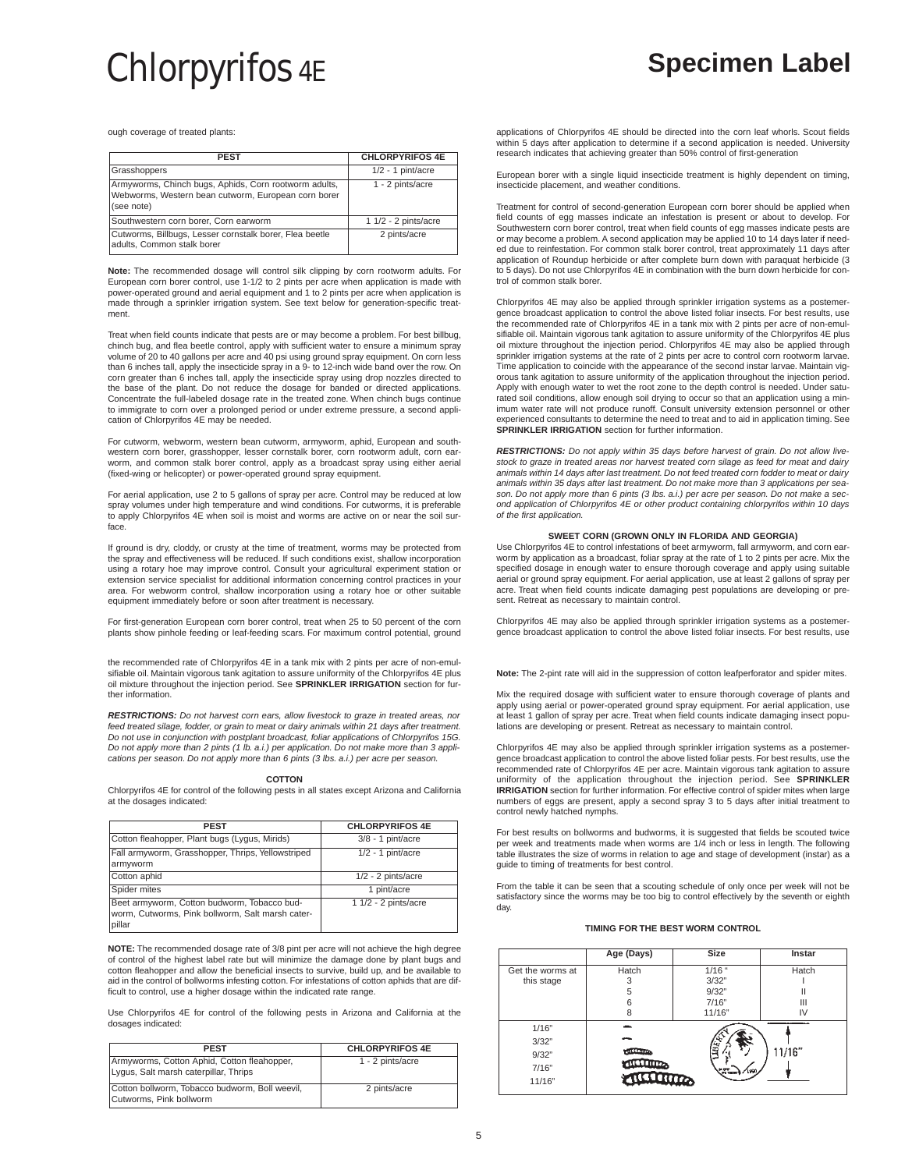ough coverage of treated plants:

| <b>PEST</b>                                                                                                                | <b>CHLORPYRIFOS 4E</b> |
|----------------------------------------------------------------------------------------------------------------------------|------------------------|
| Grasshoppers                                                                                                               | $1/2 - 1$ pint/acre    |
| Armyworms, Chinch bugs, Aphids, Corn rootworm adults,<br>Webworms, Western bean cutworm, European corn borer<br>(see note) | 1 - 2 pints/acre       |
| Southwestern corn borer, Corn earworm                                                                                      | $11/2 - 2$ pints/acre  |
| Cutworms, Billbugs, Lesser cornstalk borer, Flea beetle<br>adults, Common stalk borer                                      | 2 pints/acre           |

**Note:** The recommended dosage will control silk clipping by corn rootworm adults. For European corn borer control, use 1-1/2 to 2 pints per acre when application is made with power-operated ground and aerial equipment and 1 to 2 pints per acre when application is made through a sprinkler irrigation system. See text below for generation-specific treatment.

Treat when field counts indicate that pests are or may become a problem. For best billbug, chinch bug, and flea beetle control, apply with sufficient water to ensure a minimum spray volume of 20 to 40 gallons per acre and 40 psi using ground spray equipment. On corn less than 6 inches tall, apply the insecticide spray in a 9- to 12-inch wide band over the row. On corn greater than 6 inches tall, apply the insecticide spray using drop nozzles directed to the base of the plant. Do not reduce the dosage for banded or directed applications. Concentrate the full-labeled dosage rate in the treated zone. When chinch bugs continue to immigrate to corn over a prolonged period or under extreme pressure, a second application of Chlorpyrifos 4E may be needed.

For cutworm, webworm, western bean cutworm, armyworm, aphid, European and southwestern corn borer, grasshopper, lesser cornstalk borer, corn rootworm adult, corn earworm, and common stalk borer control, apply as a broadcast spray using either aerial (fixed-wing or helicopter) or power-operated ground spray equipment.

For aerial application, use 2 to 5 gallons of spray per acre. Control may be reduced at low spray volumes under high temperature and wind conditions. For cutworms, it is preferable to apply Chlorpyrifos 4E when soil is moist and worms are active on or near the soil surface.

If ground is dry, cloddy, or crusty at the time of treatment, worms may be protected from the spray and effectiveness will be reduced. If such conditions exist, shallow incorporation using a rotary hoe may improve control. Consult your agricultural experiment station or extension service specialist for additional information concerning control practices in your area. For webworm control, shallow incorporation using a rotary hoe or other suitable equipment immediately before or soon after treatment is necessary.

For first-generation European corn borer control, treat when 25 to 50 percent of the corn plants show pinhole feeding or leaf-feeding scars. For maximum control potential, ground

the recommended rate of Chlorpyrifos 4E in a tank mix with 2 pints per acre of non-emulsifiable oil. Maintain vigorous tank agitation to assure uniformity of the Chlorpyrifos 4E plus oil mixture throughout the injection period. See **SPRINKLER IRRIGATION** section for further information.

**RESTRICTIONS:** Do not harvest corn ears, allow livestock to graze in treated areas, nor feed treated silage, fodder, or grain to meat or dairy animals within 21 days after treatment Do not use in conjunction with postplant broadcast, foliar applications of Chlorpyrifos 15G. Do not apply more than 2 pints (1 lb. a.i.) per application. Do not make more than 3 applications per season. Do not apply more than 6 pints (3 lbs. a.i.) per acre per season.

# **COTTON**

Chlorpyrifos 4E for control of the following pests in all states except Arizona and California at the dosages indicated:

| <b>PEST</b>                                                                                               | <b>CHLORPYRIFOS 4E</b> |
|-----------------------------------------------------------------------------------------------------------|------------------------|
| Cotton fleahopper, Plant bugs (Lygus, Mirids)                                                             | $3/8 - 1$ pint/acre    |
| Fall armyworm, Grasshopper, Thrips, Yellowstriped<br>armyworm                                             | $1/2 - 1$ pint/acre    |
| Cotton aphid                                                                                              | $1/2 - 2$ pints/acre   |
| Spider mites                                                                                              | 1 pint/acre            |
| Beet armyworm, Cotton budworm, Tobacco bud-<br>worm, Cutworms, Pink bollworm, Salt marsh cater-<br>pillar | 1 1/2 - 2 pints/acre   |

**NOTE:** The recommended dosage rate of 3/8 pint per acre will not achieve the high degree of control of the highest label rate but will minimize the damage done by plant bugs and cotton fleahopper and allow the beneficial insects to survive, build up, and be available to aid in the control of bollworms infesting cotton. For infestations of cotton aphids that are difficult to control, use a higher dosage within the indicated rate range.

Use Chlorpyrifos 4E for control of the following pests in Arizona and California at the dosages indicated:

| <b>PEST</b>                                                                          | <b>CHLORPYRIFOS 4E</b> |
|--------------------------------------------------------------------------------------|------------------------|
| Armyworms, Cotton Aphid, Cotton fleahopper,<br>Lygus, Salt marsh caterpillar, Thrips | 1 - 2 pints/acre       |
| Cotton bollworm, Tobacco budworm, Boll weevil,<br>Cutworms, Pink bollworm            | 2 pints/acre           |

applications of Chlorpyrifos 4E should be directed into the corn leaf whorls. Scout fields within 5 days after application to determine if a second application is needed. University research indicates that achieving greater than 50% control of first-generation

European borer with a single liquid insecticide treatment is highly dependent on timing, insecticide placement, and weather conditions.

Treatment for control of second-generation European corn borer should be applied when field counts of egg masses indicate an infestation is present or about to develop. For Southwestern corn borer control, treat when field counts of egg masses indicate pests are or may become a problem. A second application may be applied 10 to 14 days later if needed due to reinfestation. For common stalk borer control, treat approximately 11 days after application of Roundup herbicide or after complete burn down with paraquat herbicide (3 to 5 days). Do not use Chlorpyrifos 4E in combination with the burn down herbicide for control of common stalk borer.

Chlorpyrifos 4E may also be applied through sprinkler irrigation systems as a postemer-gence broadcast application to control the above listed foliar insects. For best results, use the recommended rate of Chlorpyrifos 4E in a tank mix with 2 pints per acre of non-emulsifiable oil. Maintain vigorous tank agitation to assure uniformity of the Chlorpyrifos 4E plus oil mixture throughout the injection period. Chlorpyrifos 4E may also be applied through sprinkler irrigation systems at the rate of 2 pints per acre to control corn rootworm larvae. Time application to coincide with the appearance of the second instar larvae. Maintain vigorous tank agitation to assure uniformity of the application throughout the injection period. Apply with enough water to wet the root zone to the depth control is needed. Under saturated soil conditions, allow enough soil drying to occur so that an application using a minimum water rate will not produce runoff. Consult university extension personnel or other experienced consultants to determine the need to treat and to aid in application timing. See **SPRINKLER IRRIGATION** section for further information.

**RESTRICTIONS:** Do not apply within 35 days before harvest of grain. Do not allow livestock to graze in treated areas nor harvest treated corn silage as feed for meat and dairy animals within 14 days after last treatment. Do not feed treated corn fodder to meat or dairy animals within 35 days after last treatment. Do not make more than 3 applications per season. Do not apply more than 6 pints (3 lbs. a.i.) per acre per season. Do not make a sec-ond application of Chlorpyrifos 4E or other product containing chlorpyrifos within 10 days of the first application.

# **SWEET CORN (GROWN ONLY IN FLORIDA AND GEORGIA)**

Use Chlorpyrifos 4E to control infestations of beet armyworm, fall armyworm, and corn earworm by application as a broadcast, foliar spray at the rate of 1 to 2 pints per acre. Mix the specified dosage in enough water to ensure thorough coverage and apply using suitable aerial or ground spray equipment. For aerial application, use at least 2 gallons of spray per acre. Treat when field counts indicate damaging pest populations are developing or present. Retreat as necessary to maintain control

Chlorpyrifos 4E may also be applied through sprinkler irrigation systems as a postemer-gence broadcast application to control the above listed foliar insects. For best results, use

**Note:** The 2-pint rate will aid in the suppression of cotton leafperforator and spider mites.

Mix the required dosage with sufficient water to ensure thorough coverage of plants and apply using aerial or power-operated ground spray equipment. For aerial application, use at least 1 gallon of spray per acre. Treat when field counts indicate damaging insect populations are developing or present. Retreat as necessary to maintain control.

Chlorpyrifos 4E may also be applied through sprinkler irrigation systems as a postemergence broadcast application to control the above listed foliar pests. For best results, use the recommended rate of Chlorpyrifos 4E per acre. Maintain vigorous tank agitation to assure uniformity of the application throughout the injection period. See **SPRINKLER IRRIGATION** section for further information. For effective control of spider mites when large numbers of eggs are present, apply a second spray 3 to 5 days after initial treatment to control newly hatched nymphs.

For best results on bollworms and budworms, it is suggested that fields be scouted twice per week and treatments made when worms are 1/4 inch or less in length. The following table illustrates the size of worms in relation to age and stage of development (instar) as a guide to timing of treatments for best control.

From the table it can be seen that a scouting schedule of only once per week will not be satisfactory since the worms may be too big to control effectively by the seventh or eighth day.

# **TIMING FOR THE BEST WORM CONTROL**

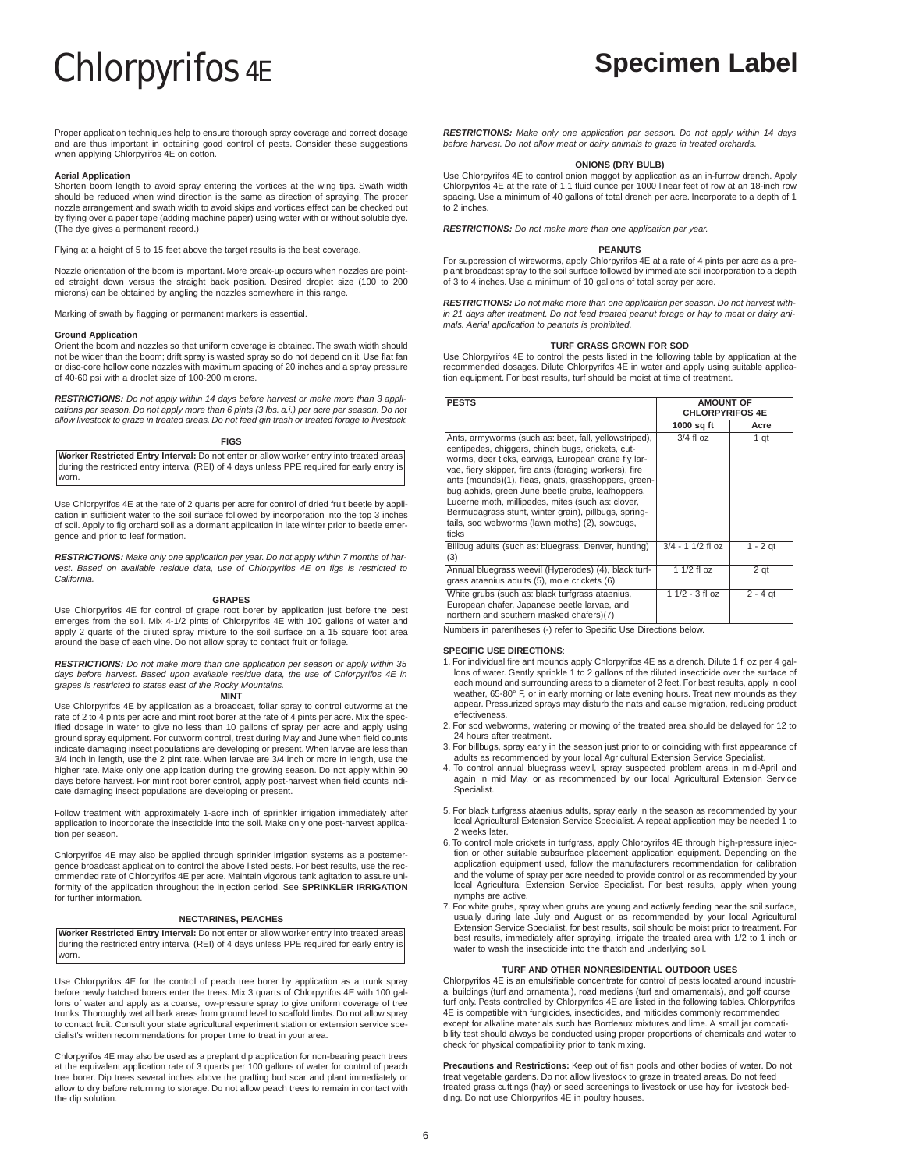Proper application techniques help to ensure thorough spray coverage and correct dosage and are thus important in obtaining good control of pests. Consider these suggestions when applying Chlorpyrifos 4E on cotton.

# **Aerial Application**

Shorten boom length to avoid spray entering the vortices at the wing tips. Swath width should be reduced when wind direction is the same as direction of spraying. The proper nozzle arrangement and swath width to avoid skips and vortices effect can be checked out by flying over a paper tape (adding machine paper) using water with or without soluble dye. (The dye gives a permanent record.)

Flying at a height of 5 to 15 feet above the target results is the best coverage.

Nozzle orientation of the boom is important. More break-up occurs when nozzles are point-ed straight down versus the straight back position. Desired droplet size (100 to 200 microns) can be obtained by angling the nozzles somewhere in this range.

Marking of swath by flagging or permanent markers is essential.

# **Ground Application**

Orient the boom and nozzles so that uniform coverage is obtained. The swath width should not be wider than the boom; drift spray is wasted spray so do not depend on it. Use flat fan or disc-core hollow cone nozzles with maximum spacing of 20 inches and a spray pressure of 40-60 psi with a droplet size of 100-200 microns.

**RESTRICTIONS:** Do not apply within 14 days before harvest or make more than 3 applications per season. Do not apply more than 6 pints (3 lbs. a.i.) per acre per season. Do not allow livestock to graze in treated areas. Do not feed gin trash or treated forage to livestock.

# **FIGS**

**Worker Restricted Entry Interval:** Do not enter or allow worker entry into treated areas during the restricted entry interval (REI) of 4 days unless PPE required for early entry is worn.

Use Chlorpyrifos 4E at the rate of 2 quarts per acre for control of dried fruit beetle by application in sufficient water to the soil surface followed by incorporation into the top 3 inches of soil. Apply to fig orchard soil as a dormant application in late winter prior to beetle emergence and prior to leaf formation.

**RESTRICTIONS:** Make only one application per year. Do not apply within 7 months of harvest. Based on available residue data, use of Chlorpyrifos 4E on figs is restricted to California.

# **GRAPES**

Use Chlorpyrifos 4E for control of grape root borer by application just before the pest emerges from the soil. Mix 4-1/2 pints of Chlorpyrifos 4E with 100 gallons of water and apply 2 quarts of the diluted spray mixture to the soil surface on a 15 square foot area around the base of each vine. Do not allow spray to contact fruit or foliage.

**RESTRICTIONS:** Do not make more than one application per season or apply within 35 days before harvest. Based upon available residue data, the use of Chlorpyrifos 4E in grapes is restricted to states east of the Rocky Mountains. **MINT**

Use Chlorpyrifos 4E by application as a broadcast, foliar spray to control cutworms at the rate of 2 to 4 pints per acre and mint root borer at the rate of 4 pints per acre. Mix the specified dosage in water to give no less than 10 gallons of spray per acre and apply using ground spray equipment. For cutworm control, treat during May and June when field counts indicate damaging insect populations are developing or present. When larvae are less than 3/4 inch in length, use the 2 pint rate. When larvae are 3/4 inch or more in length, use the higher rate. Make only one application during the growing season. Do not apply within 90 days before harvest. For mint root borer control, apply post-harvest when field counts indicate damaging insect populations are developing or present.

Follow treatment with approximately 1-acre inch of sprinkler irrigation immediately after application to incorporate the insecticide into the soil. Make only one post-harvest application per season.

Chlorpyrifos 4E may also be applied through sprinkler irrigation systems as a postemergence broadcast application to control the above listed pests. For best results, use the recommended rate of Chlorpyrifos 4E per acre. Maintain vigorous tank agitation to assure uniformity of the application throughout the injection period. See **SPRINKLER IRRIGATION** for further information.

# **NECTARINES, PEACHES**

**Worker Restricted Entry Interval:** Do not enter or allow worker entry into treated areas during the restricted entry interval (REI) of 4 days unless PPE required for early entry is worn.

Use Chlorpyrifos 4E for the control of peach tree borer by application as a trunk spray before newly hatched borers enter the trees. Mix 3 quarts of Chlorpyrifos 4E with 100 gal-lons of water and apply as a coarse, low-pressure spray to give uniform coverage of tree trunks.Thoroughly wet all bark areas from ground level to scaffold limbs. Do not allow spray to contact fruit. Consult your state agricultural experiment station or extension service specialist's written recommendations for proper time to treat in your area.

Chlorpyrifos 4E may also be used as a preplant dip application for non-bearing peach trees at the equivalent application rate of 3 quarts per 100 gallons of water for control of peach tree borer. Dip trees several inches above the grafting bud scar and plant immediately or allow to dry before returning to storage. Do not allow peach trees to remain in contact with the dip solution.

**RESTRICTIONS:** Make only one application per season. Do not apply within 14 days before harvest. Do not allow meat or dairy animals to graze in treated orchards.

# **ONIONS (DRY BULB)**

Use Chlorpyrifos 4E to control onion maggot by application as an in-furrow drench. Apply Chlorpyrifos 4E at the rate of 1.1 fluid ounce per 1000 linear feet of row at an 18-inch row spacing. Use a minimum of 40 gallons of total drench per acre. Incorporate to a depth of 1 to 2 inches.

**RESTRICTIONS:** Do not make more than one application per year.

# **PEANUTS**

For suppression of wireworms, apply Chlorpyrifos 4E at a rate of 4 pints per acre as a preplant broadcast spray to the soil surface followed by immediate soil incorporation to a depth of 3 to 4 inches. Use a minimum of 10 gallons of total spray per acre.

**RESTRICTIONS:** Do not make more than one application per season. Do not harvest within 21 days after treatment. Do not feed treated peanut forage or hay to meat or dairy ani-mals. Aerial application to peanuts is prohibited.

# **TURF GRASS GROWN FOR SOD**

Use Chlorpyrifos 4E to control the pests listed in the following table by application at the recommended dosages. Dilute Chlorpyrifos 4E in water and apply using suitable application equipment. For best results, turf should be moist at time of treatment.

| <b>PESTS</b>                                                                                                                                                                                                                                                                                                                                                                                                                                                                                                     | <b>AMOUNT OF</b><br><b>CHLORPYRIFOS 4E</b> |            |
|------------------------------------------------------------------------------------------------------------------------------------------------------------------------------------------------------------------------------------------------------------------------------------------------------------------------------------------------------------------------------------------------------------------------------------------------------------------------------------------------------------------|--------------------------------------------|------------|
|                                                                                                                                                                                                                                                                                                                                                                                                                                                                                                                  | 1000 sq ft                                 | Acre       |
| Ants, armyworms (such as: beet, fall, yellowstriped),<br>centipedes, chiqqers, chinch bugs, crickets, cut-<br>worms, deer ticks, earwigs, European crane fly lar-<br>vae, fiery skipper, fire ants (foraging workers), fire<br>ants (mounds)(1), fleas, gnats, grasshoppers, green-<br>bug aphids, green June beetle grubs, leafhoppers,<br>Lucerne moth, millipedes, mites (such as: clover,<br>Bermudagrass stunt, winter grain), pillbugs, spring-<br>tails, sod webworms (lawn moths) (2), sowbugs,<br>ticks | $3/4$ fl oz                                | 1 qt       |
| Billbug adults (such as: bluegrass, Denver, hunting)<br>(3)                                                                                                                                                                                                                                                                                                                                                                                                                                                      | $3/4 - 11/2$ fl oz                         | $1 - 2$ qt |
| Annual bluegrass weevil (Hyperodes) (4), black turf-<br>grass ataenius adults (5), mole crickets (6)                                                                                                                                                                                                                                                                                                                                                                                                             | 1 1/2 fl oz                                | 2 qt       |
| White grubs (such as: black turfgrass ataenius,<br>European chafer, Japanese beetle larvae, and<br>northern and southern masked chafers)(7)                                                                                                                                                                                                                                                                                                                                                                      | $11/2 - 31$ oz                             | $2 - 4$ qt |

Numbers in parentheses (-) refer to Specific Use Directions below.

# **SPECIFIC USE DIRECTIONS**:

- 1. For individual fire ant mounds apply Chlorpyrifos 4E as a drench. Dilute 1 fl oz per 4 gallons of water. Gently sprinkle 1 to 2 gallons of the diluted insecticide over the surface of each mound and surrounding areas to a diameter of 2 feet. For best results, apply in cool weather, 65-80° F, or in early morning or late evening hours. Treat new mounds as they appear. Pressurized sprays may disturb the nats and cause migration, reducing product effectiveness.
- 2. For sod webworms, watering or mowing of the treated area should be delayed for 12 to 24 hours after treatment.
- 3. For billbugs, spray early in the season just prior to or coinciding with first appearance of adults as recommended by your local Agricultural Extension Service Specialist.
- 4. To control annual bluegrass weevil, spray suspected problem areas in mid-April and again in mid May, or as recommended by our local Agricultural Extension Service Specialist.
- 5. For black turfgrass ataenius adults, spray early in the season as recommended by your local Agricultural Extension Service Specialist. A repeat application may be needed 1 to 2 weeks later.
- 6. To control mole crickets in turfgrass, apply Chlorpyrifos 4E through high-pressure injection or other suitable subsurface placement application equipment. Depending on the application equipment used, follow the manufacturers recommendation for calibration and the volume of spray per acre needed to provide control or as recommended by your local Agricultural Extension Service Specialist. For best results, apply when young nymphs are active.
- 7. For white grubs, spray when grubs are young and actively feeding near the soil surface, usually during late July and August or as recommended by your local Agricultural Extension Service Specialist, for best results, soil should be moist prior to treatment. For best results, immediately after spraying, irrigate the treated area with 1/2 to 1 inch or water to wash the insecticide into the thatch and underlying soil.

# **TURF AND OTHER NONRESIDENTIAL OUTDOOR USES**

Chlorpyrifos 4E is an emulsifiable concentrate for control of pests located around industrial buildings (turf and ornamental), road medians (turf and ornamentals), and golf course turf only. Pests controlled by Chlorpyrifos 4E are listed in the following tables. Chlorpyrifos 4E is compatible with fungicides, insecticides, and miticides commonly recommended except for alkaline materials such has Bordeaux mixtures and lime. A small jar compatibility test should always be conducted using proper proportions of chemicals and water to check for physical compatibility prior to tank mixing.

**Precautions and Restrictions:** Keep out of fish pools and other bodies of water. Do not treat vegetable gardens. Do not allow livestock to graze in treated areas. Do not feed treated grass cuttings (hay) or seed screenings to livestock or use hay for livestock bedding. Do not use Chlorpyrifos 4E in poultry houses.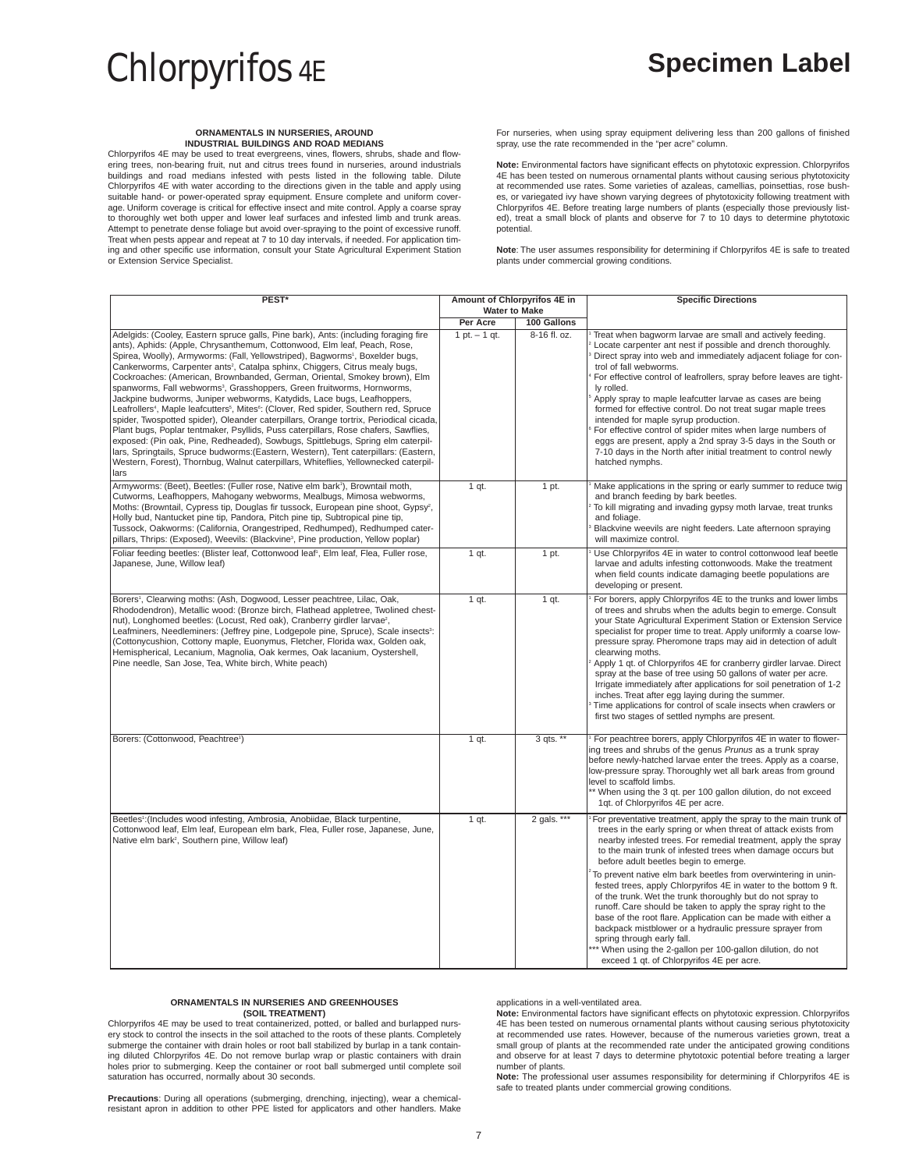# **ORNAMENTALS IN NURSERIES, AROUND INDUSTRIAL BUILDINGS AND ROAD MEDIANS**

Chlorpyrifos 4E may be used to treat evergreens, vines, flowers, shrubs, shade and flowering trees, non-bearing fruit, nut and citrus trees found in nurseries, around industrials buildings and road medians infested with pests listed in the following table. Dilute Chlorpyrifos 4E with water according to the directions given in the table and apply using suitable hand- or power-operated spray equipment. Ensure complete and uniform cover-age. Uniform coverage is critical for effective insect and mite control. Apply a coarse spray to thoroughly wet both upper and lower leaf surfaces and infested limb and trunk areas. Attempt to penetrate dense foliage but avoid over-spraying to the point of excessive runoff. Treat when pests appear and repeat at 7 to 10 day intervals, if needed. For application timing and other specific use information, consult your State Agricultural Experiment Station or Extension Service Specialist.

For nurseries, when using spray equipment delivering less than 200 gallons of finished spray, use the rate recommended in the "per acre" column.

**Note:** Environmental factors have significant effects on phytotoxic expression. Chlorpyrifos 4E has been tested on numerous ornamental plants without causing serious phytotoxicity at recommended use rates. Some varieties of azaleas, camellias, poinsettias, rose bushes, or variegated ivy have shown varying degrees of phytotoxicity following treatment with Chlorpyrifos 4E. Before treating large numbers of plants (especially those previously listed), treat a small block of plants and observe for 7 to 10 days to determine phytotoxic potential.

**Note**: The user assumes responsibility for determining if Chlorpyrifos 4E is safe to treated plants under commercial growing conditions.

| PEST*                                                                                                                                                                                                                                                                                                                                                                                                                                                                                                                                                                                                                                                                                                                                                                                                                                                                                                                                                                                                                                                                                                                                                                                       |                 | Amount of Chlorpyrifos 4E in<br><b>Water to Make</b> | <b>Specific Directions</b>                                                                                                                                                                                                                                                                                                                                                                                                                                                                                                                                                                                                                                                                                                                                                                                                                            |  |
|---------------------------------------------------------------------------------------------------------------------------------------------------------------------------------------------------------------------------------------------------------------------------------------------------------------------------------------------------------------------------------------------------------------------------------------------------------------------------------------------------------------------------------------------------------------------------------------------------------------------------------------------------------------------------------------------------------------------------------------------------------------------------------------------------------------------------------------------------------------------------------------------------------------------------------------------------------------------------------------------------------------------------------------------------------------------------------------------------------------------------------------------------------------------------------------------|-----------------|------------------------------------------------------|-------------------------------------------------------------------------------------------------------------------------------------------------------------------------------------------------------------------------------------------------------------------------------------------------------------------------------------------------------------------------------------------------------------------------------------------------------------------------------------------------------------------------------------------------------------------------------------------------------------------------------------------------------------------------------------------------------------------------------------------------------------------------------------------------------------------------------------------------------|--|
|                                                                                                                                                                                                                                                                                                                                                                                                                                                                                                                                                                                                                                                                                                                                                                                                                                                                                                                                                                                                                                                                                                                                                                                             | Per Acre        | 100 Gallons                                          |                                                                                                                                                                                                                                                                                                                                                                                                                                                                                                                                                                                                                                                                                                                                                                                                                                                       |  |
| Adelgids: (Cooley, Eastern spruce galls, Pine bark), Ants: (including foraging fire<br>ants), Aphids: (Apple, Chrysanthemum, Cottonwood, Elm leaf, Peach, Rose,<br>Spirea, Woolly), Armyworms: (Fall, Yellowstriped), Bagworms <sup>1</sup> , Boxelder bugs,<br>Cankerworms, Carpenter ants <sup>2</sup> , Catalpa sphinx, Chiggers, Citrus mealy bugs,<br>Cockroaches: (American, Brownbanded, German, Oriental, Smokey brown), Elm<br>spanworms, Fall webworms <sup>3</sup> , Grasshoppers, Green fruitworms, Hornworms,<br>Jackpine budworms, Juniper webworms, Katydids, Lace bugs, Leafhoppers,<br>Leafrollers <sup>4</sup> , Maple leafcutters <sup>5</sup> , Mites <sup>6</sup> : (Clover, Red spider, Southern red, Spruce<br>spider, Twospotted spider), Oleander caterpillars, Orange tortrix, Periodical cicada,<br>Plant bugs, Poplar tentmaker, Psyllids, Puss caterpillars, Rose chafers, Sawflies,<br>exposed: (Pin oak, Pine, Redheaded), Sowbugs, Spittlebugs, Spring elm caterpil-<br>lars, Springtails, Spruce budworms: (Eastern, Western), Tent caterpillars: (Eastern,<br>Western, Forest), Thornbug, Walnut caterpillars, Whiteflies, Yellownecked caterpil-<br>lars | $1 pt. - 1 qt.$ | 8-16 fl. oz.                                         | Treat when bagworm larvae are small and actively feeding.<br>Locate carpenter ant nest if possible and drench thoroughly.<br>Direct spray into web and immediately adjacent foliage for con-<br>trol of fall webworms.<br>For effective control of leafrollers, spray before leaves are tight-<br>ly rolled.<br>Apply spray to maple leafcutter larvae as cases are being<br>formed for effective control. Do not treat sugar maple trees<br>intended for maple syrup production.<br>For effective control of spider mites when large numbers of<br>eggs are present, apply a 2nd spray 3-5 days in the South or<br>7-10 days in the North after initial treatment to control newly<br>hatched nymphs.                                                                                                                                                |  |
| Armyworms: (Beet), Beetles: (Fuller rose, Native elm bark <sup>1</sup> ), Browntail moth,<br>Cutworms, Leafhoppers, Mahogany webworms, Mealbugs, Mimosa webworms,<br>Moths: (Browntail, Cypress tip, Douglas fir tussock, European pine shoot, Gypsy <sup>2</sup> ,<br>Holly bud, Nantucket pine tip, Pandora, Pitch pine tip, Subtropical pine tip,<br>Tussock, Oakworms: (California, Orangestriped, Redhumped), Redhumped cater-<br>pillars, Thrips: (Exposed), Weevils: (Blackvine <sup>3</sup> , Pine production, Yellow poplar)                                                                                                                                                                                                                                                                                                                                                                                                                                                                                                                                                                                                                                                       | 1 qt.           | 1 pt.                                                | Make applications in the spring or early summer to reduce twig<br>and branch feeding by bark beetles.<br>To kill migrating and invading gypsy moth larvae, treat trunks<br>and foliage.<br>Blackvine weevils are night feeders. Late afternoon spraying<br>will maximize control.                                                                                                                                                                                                                                                                                                                                                                                                                                                                                                                                                                     |  |
| Foliar feeding beetles: (Blister leaf, Cottonwood leaf <sup>1</sup> , Elm leaf, Flea, Fuller rose,<br>Japanese, June, Willow leaf)                                                                                                                                                                                                                                                                                                                                                                                                                                                                                                                                                                                                                                                                                                                                                                                                                                                                                                                                                                                                                                                          | $1$ qt.         | 1 pt.                                                | Use Chlorpyrifos 4E in water to control cottonwood leaf beetle<br>larvae and adults infesting cottonwoods. Make the treatment<br>when field counts indicate damaging beetle populations are<br>developing or present.                                                                                                                                                                                                                                                                                                                                                                                                                                                                                                                                                                                                                                 |  |
| Borers <sup>1</sup> , Clearwing moths: (Ash, Dogwood, Lesser peachtree, Lilac, Oak,<br>Rhododendron), Metallic wood: (Bronze birch, Flathead appletree, Twolined chest-<br>nut), Longhomed beetles: (Locust, Red oak), Cranberry girdler larvae <sup>2</sup> ,<br>Leafminers, Needleminers: (Jeffrey pine, Lodgepole pine, Spruce), Scale insects <sup>3</sup> :<br>(Cottonycushion, Cottony maple, Euonymus, Fletcher, Florida wax, Golden oak,<br>Hemispherical, Lecanium, Magnolia, Oak kermes, Oak lacanium, Oystershell,<br>Pine needle, San Jose, Tea, White birch, White peach)                                                                                                                                                                                                                                                                                                                                                                                                                                                                                                                                                                                                      | 1 qt.           | $1$ qt.                                              | For borers, apply Chlorpyrifos 4E to the trunks and lower limbs<br>of trees and shrubs when the adults begin to emerge. Consult<br>your State Agricultural Experiment Station or Extension Service<br>specialist for proper time to treat. Apply uniformly a coarse low-<br>pressure spray. Pheromone traps may aid in detection of adult<br>clearwing moths.<br>Apply 1 qt. of Chlorpyrifos 4E for cranberry girdler larvae. Direct<br>spray at the base of tree using 50 gallons of water per acre.<br>Irrigate immediately after applications for soil penetration of 1-2<br>inches. Treat after egg laying during the summer.<br>Time applications for control of scale insects when crawlers or<br>first two stages of settled nymphs are present.                                                                                               |  |
| Borers: (Cottonwood, Peachtree <sup>1</sup> )                                                                                                                                                                                                                                                                                                                                                                                                                                                                                                                                                                                                                                                                                                                                                                                                                                                                                                                                                                                                                                                                                                                                               | $1$ qt.         | $3$ qts. **                                          | For peachtree borers, apply Chlorpyrifos 4E in water to flower-<br>ing trees and shrubs of the genus Prunus as a trunk spray<br>before newly-hatched larvae enter the trees. Apply as a coarse,<br>low-pressure spray. Thoroughly wet all bark areas from ground<br>level to scaffold limbs.<br>** When using the 3 qt. per 100 gallon dilution, do not exceed<br>1qt. of Chlorpyrifos 4E per acre.                                                                                                                                                                                                                                                                                                                                                                                                                                                   |  |
| Beetles <sup>1</sup> : (Includes wood infesting, Ambrosia, Anobiidae, Black turpentine,<br>Cottonwood leaf, Elm leaf, European elm bark, Flea, Fuller rose, Japanese, June,<br>Native elm bark <sup>2</sup> , Southern pine, Willow leaf)                                                                                                                                                                                                                                                                                                                                                                                                                                                                                                                                                                                                                                                                                                                                                                                                                                                                                                                                                   | 1 qt.           | 2 gals. ***                                          | For preventative treatment, apply the spray to the main trunk of<br>trees in the early spring or when threat of attack exists from<br>nearby infested trees. For remedial treatment, apply the spray<br>to the main trunk of infested trees when damage occurs but<br>before adult beetles begin to emerge.<br>To prevent native elm bark beetles from overwintering in unin-<br>fested trees, apply Chlorpyrifos 4E in water to the bottom 9 ft.<br>of the trunk. Wet the trunk thoroughly but do not spray to<br>runoff. Care should be taken to apply the spray right to the<br>base of the root flare. Application can be made with either a<br>backpack mistblower or a hydraulic pressure sprayer from<br>spring through early fall.<br>** When using the 2-gallon per 100-gallon dilution, do not<br>exceed 1 qt. of Chlorpyrifos 4E per acre. |  |

# **ORNAMENTALS IN NURSERIES AND GREENHOUSES (SOIL TREATMENT)**

Chlorpyrifos 4E may be used to treat containerized, potted, or balled and burlapped nursery stock to control the insects in the soil attached to the roots of these plants. Completely submerge the container with drain holes or root ball stabilized by burlap in a tank containing diluted Chlorpyrifos 4E. Do not remove burlap wrap or plastic containers with drain holes prior to submerging. Keep the container or root ball submerged until complete soil saturation has occurred, normally about 30 seconds.

**Precautions**: During all operations (submerging, drenching, injecting), wear a chemicalresistant apron in addition to other PPE listed for applicators and other handlers. Make applications in a well-ventilated area.

**Note:** Environmental factors have significant effects on phytotoxic expression. Chlorpyrifos 4E has been tested on numerous ornamental plants without causing serious phytotoxicity at recommended use rates. However, because of the numerous varieties grown, treat a small group of plants at the recommended rate under the anticipated growing conditions and observe for at least 7 days to determine phytotoxic potential before treating a larger number of plants.

**Note:** The professional user assumes responsibility for determining if Chlorpyrifos 4E is safe to treated plants under commercial growing conditions.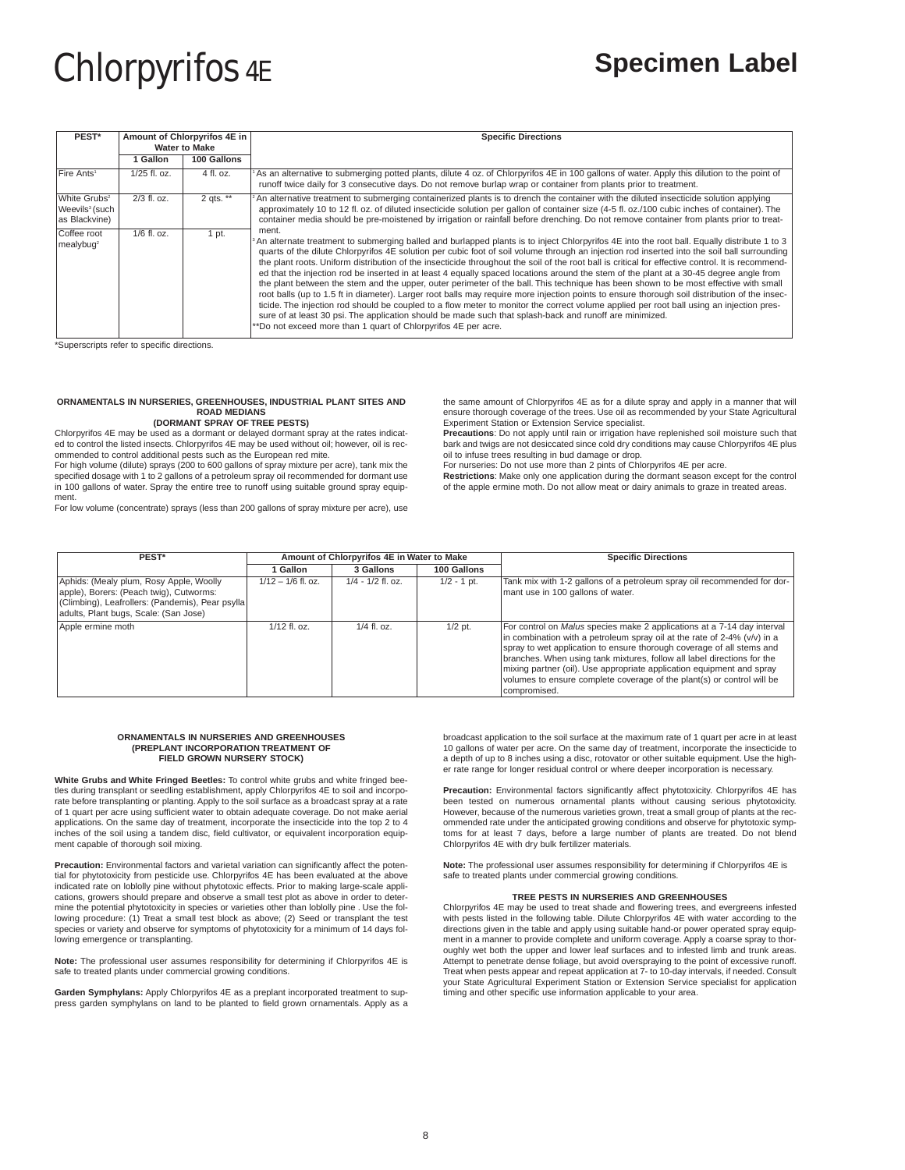| PEST*                                                                   | Amount of Chlorpyrifos 4E in<br><b>Water to Make</b> |             | <b>Specific Directions</b>                                                                                                                                                                                                                                                                                                                                                                                                                                                                                                                                                                                                                                                                                                                                                                                                                                                                                                                                                                                                                                                                                                                                                                                            |  |
|-------------------------------------------------------------------------|------------------------------------------------------|-------------|-----------------------------------------------------------------------------------------------------------------------------------------------------------------------------------------------------------------------------------------------------------------------------------------------------------------------------------------------------------------------------------------------------------------------------------------------------------------------------------------------------------------------------------------------------------------------------------------------------------------------------------------------------------------------------------------------------------------------------------------------------------------------------------------------------------------------------------------------------------------------------------------------------------------------------------------------------------------------------------------------------------------------------------------------------------------------------------------------------------------------------------------------------------------------------------------------------------------------|--|
|                                                                         | Gallon                                               | 100 Gallons |                                                                                                                                                                                                                                                                                                                                                                                                                                                                                                                                                                                                                                                                                                                                                                                                                                                                                                                                                                                                                                                                                                                                                                                                                       |  |
| Fire Ants <sup>1</sup>                                                  | $1/25$ fl. oz.                                       | 4 fl. oz.   | As an alternative to submerging potted plants, dilute 4 oz. of Chlorpyrifos 4E in 100 gallons of water. Apply this dilution to the point of<br>runoff twice daily for 3 consecutive days. Do not remove burlap wrap or container from plants prior to treatment.                                                                                                                                                                                                                                                                                                                                                                                                                                                                                                                                                                                                                                                                                                                                                                                                                                                                                                                                                      |  |
| White Grubs <sup>2</sup><br>Weevils <sup>3</sup> (such<br>as Blackvine) | 2/3 fl. oz.                                          | 2 qts. $**$ | An alternative treatment to submerging containerized plants is to drench the container with the diluted insecticide solution applying<br>approximately 10 to 12 fl. oz. of diluted insecticide solution per gallon of container size (4-5 fl. oz./100 cubic inches of container). The<br>container media should be pre-moistened by irrigation or rainfall before drenching. Do not remove container from plants prior to treat-                                                                                                                                                                                                                                                                                                                                                                                                                                                                                                                                                                                                                                                                                                                                                                                      |  |
| Coffee root<br>mealybuq <sup>2</sup>                                    | $1/6$ fl. oz.                                        | 1 pt.       | ment.<br>An alternate treatment to submerging balled and burlapped plants is to inject Chlorpyrifos 4E into the root ball. Equally distribute 1 to 3<br>quarts of the dilute Chlorpyrifos 4E solution per cubic foot of soil volume through an injection rod inserted into the soil ball surrounding<br>the plant roots. Uniform distribution of the insecticide throughout the soil of the root ball is critical for effective control. It is recommend-<br>ed that the injection rod be inserted in at least 4 equally spaced locations around the stem of the plant at a 30-45 degree angle from<br>the plant between the stem and the upper, outer perimeter of the ball. This technique has been shown to be most effective with small<br>root balls (up to 1.5 ft in diameter). Larger root balls may require more injection points to ensure thorough soil distribution of the insec-<br>ticide. The injection rod should be coupled to a flow meter to monitor the correct volume applied per root ball using an injection pres-<br>sure of at least 30 psi. The application should be made such that splash-back and runoff are minimized.<br>**Do not exceed more than 1 quart of Chlorpyrifos 4E per acre. |  |

\*Superscripts refer to specific directions.

# **ORNAMENTALS IN NURSERIES, GREENHOUSES, INDUSTRIAL PLANT SITES AND ROAD MEDIANS (DORMANT SPRAY OF TREE PESTS)**

Chlorpyrifos 4E may be used as a dormant or delayed dormant spray at the rates indicated to control the listed insects. Chlorpyrifos 4E may be used without oil; however, oil is recommended to control additional pests such as the European red mite.

For high volume (dilute) sprays (200 to 600 gallons of spray mixture per acre), tank mix the specified dosage with 1 to 2 gallons of a petroleum spray oil recommended for dormant use in 100 gallons of water. Spray the entire tree to runoff using suitable ground spray equip-

ment. For low volume (concentrate) sprays (less than 200 gallons of spray mixture per acre), use

the same amount of Chlorpyrifos 4E as for a dilute spray and apply in a manner that will ensure thorough coverage of the trees. Use oil as recommended by your State Agricultural Experiment Station or Extension Service specialist. **Precautions**: Do not apply until rain or irrigation have replenished soil moisture such that

bark and twigs are not desiccated since cold dry conditions may cause Chlorpyrifos 4E plus oil to infuse trees resulting in bud damage or drop.

For nurseries: Do not use more than 2 pints of Chlorpyrifos 4E per acre.

**Restrictions**: Make only one application during the dormant season except for the control of the apple ermine moth. Do not allow meat or dairy animals to graze in treated areas.

| PEST*                                                                                                                                                                           |                      | Amount of Chlorpyrifos 4E in Water to Make |               | <b>Specific Directions</b>                                                                                                                                                                                                                                                                                                                                                                                                                                                          |
|---------------------------------------------------------------------------------------------------------------------------------------------------------------------------------|----------------------|--------------------------------------------|---------------|-------------------------------------------------------------------------------------------------------------------------------------------------------------------------------------------------------------------------------------------------------------------------------------------------------------------------------------------------------------------------------------------------------------------------------------------------------------------------------------|
|                                                                                                                                                                                 | <b>Gallon</b>        | 3 Gallons                                  | 100 Gallons   |                                                                                                                                                                                                                                                                                                                                                                                                                                                                                     |
| Aphids: (Mealy plum, Rosy Apple, Woolly<br>apple), Borers: (Peach twig), Cutworms:<br>(Climbing), Leafrollers: (Pandemis), Pear psylla<br>adults, Plant bugs, Scale: (San Jose) | $1/12 - 1/6$ fl. oz. | $1/4 - 1/2$ fl. oz.                        | $1/2 - 1$ pt. | Tank mix with 1-2 gallons of a petroleum spray oil recommended for dor-<br>mant use in 100 gallons of water.                                                                                                                                                                                                                                                                                                                                                                        |
| Apple ermine moth                                                                                                                                                               | $1/12$ fl. oz.       | $1/4$ fl. oz.                              | $1/2$ pt.     | For control on <i>Malus</i> species make 2 applications at a 7-14 day interval<br>In combination with a petroleum spray oil at the rate of 2-4% $(v/v)$ in a<br>spray to wet application to ensure thorough coverage of all stems and<br>branches. When using tank mixtures, follow all label directions for the<br>mixing partner (oil). Use appropriate application equipment and spray<br>volumes to ensure complete coverage of the plant(s) or control will be<br>compromised. |

# **ORNAMENTALS IN NURSERIES AND GREENHOUSES (PREPLANT INCORPORATION TREATMENT OF FIELD GROWN NURSERY STOCK)**

**White Grubs and White Fringed Beetles:** To control white grubs and white fringed beetles during transplant or seedling establishment, apply Chlorpyrifos 4E to soil and incorporate before transplanting or planting. Apply to the soil surface as a broadcast spray at a rate of 1 quart per acre using sufficient water to obtain adequate coverage. Do not make aerial applications. On the same day of treatment, incorporate the insecticide into the top 2 to 4 inches of the soil using a tandem disc, field cultivator, or equivalent incorporation equipment capable of thorough soil mixing.

**Precaution:** Environmental factors and varietal variation can significantly affect the potential for phytotoxicity from pesticide use. Chlorpyrifos 4E has been evaluated at the above indicated rate on loblolly pine without phytotoxic effects. Prior to making large-scale applications, growers should prepare and observe a small test plot as above in order to determine the potential phytotoxicity in species or varieties other than loblolly pine . Use the following procedure: (1) Treat a small test block as above; (2) Seed or transplant the test species or variety and observe for symptoms of phytotoxicity for a minimum of 14 days following emergence or transplanting.

**Note:** The professional user assumes responsibility for determining if Chlorpyrifos 4E is safe to treated plants under commercial growing conditions.

**Garden Symphylans:** Apply Chlorpyrifos 4E as a preplant incorporated treatment to suppress garden symphylans on land to be planted to field grown ornamentals. Apply as a broadcast application to the soil surface at the maximum rate of 1 quart per acre in at least 10 gallons of water per acre. On the same day of treatment, incorporate the insecticide to a depth of up to 8 inches using a disc, rotovator or other suitable equipment. Use the high-er rate range for longer residual control or where deeper incorporation is necessary.

**Precaution:** Environmental factors significantly affect phytotoxicity. Chlorpyrifos 4E has been tested on numerous ornamental plants without causing serious phytotoxicity. However, because of the numerous varieties grown, treat a small group of plants at the recommended rate under the anticipated growing conditions and observe for phytotoxic symptoms for at least 7 days, before a large number of plants are treated. Do not blend Chlorpyrifos 4E with dry bulk fertilizer materials.

**Note:** The professional user assumes responsibility for determining if Chlorpyrifos 4E is safe to treated plants under commercial growing conditions.

# **TREE PESTS IN NURSERIES AND GREENHOUSES**

Chlorpyrifos 4E may be used to treat shade and flowering trees, and evergreens infested with pests listed in the following table. Dilute Chlorpyrifos 4E with water according to the directions given in the table and apply using suitable hand-or power operated spray equipment in a manner to provide complete and uniform coverage. Apply a coarse spray to thoroughly wet both the upper and lower leaf surfaces and to infested limb and trunk areas. Attempt to penetrate dense foliage, but avoid overspraying to the point of excessive runoff. Treat when pests appear and repeat application at 7- to 10-day intervals, if needed. Consult your State Agricultural Experiment Station or Extension Service specialist for application timing and other specific use information applicable to your area.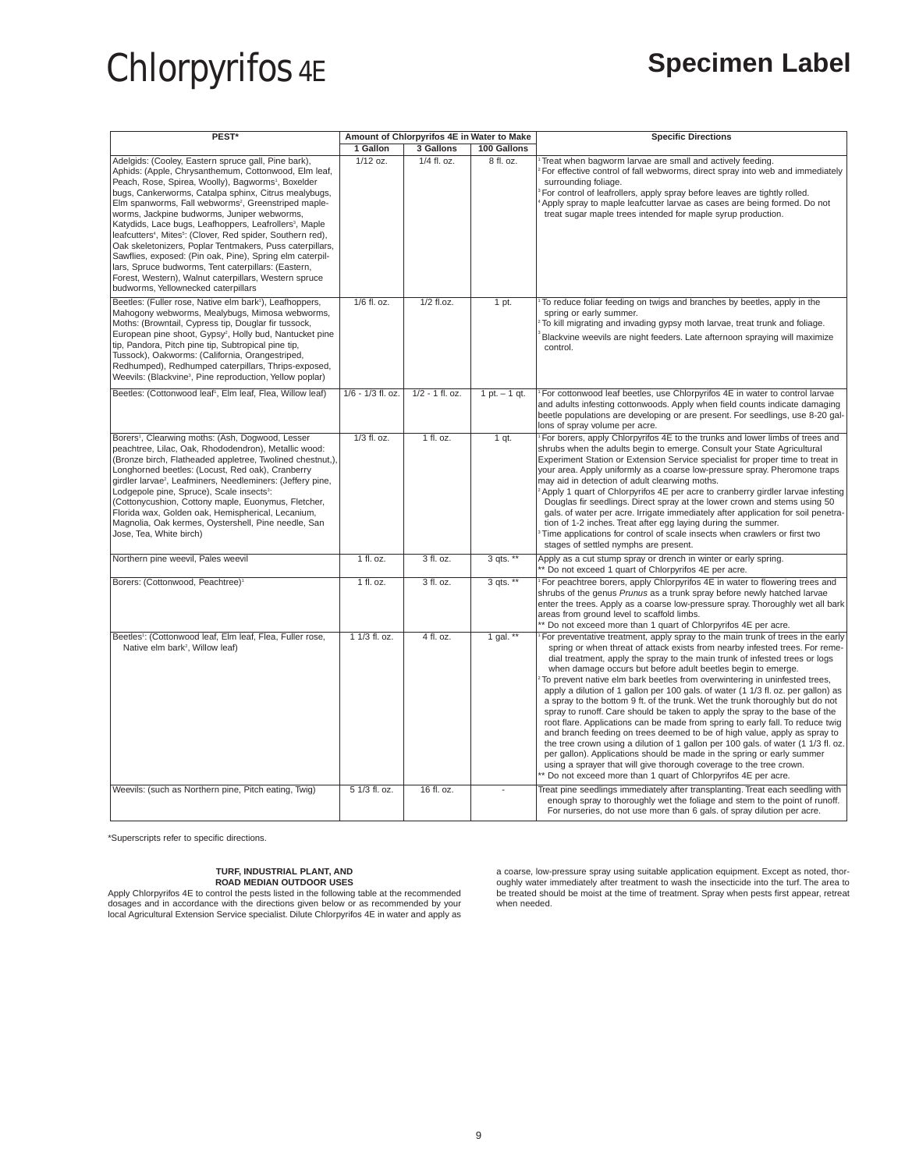| PEST*                                                                                                                                                                                                                                                                                                                                                                                                                                                                                                                                                                                                                                                                                                                                                                                               | Amount of Chlorpyrifos 4E in Water to Make |                   |                 | <b>Specific Directions</b>                                                                                                                                                                                                                                                                                                                                                                                                                                                                                                                                                                                                                                                                                                                                                                                                                                                                                                                                                                                                                                                                                               |  |
|-----------------------------------------------------------------------------------------------------------------------------------------------------------------------------------------------------------------------------------------------------------------------------------------------------------------------------------------------------------------------------------------------------------------------------------------------------------------------------------------------------------------------------------------------------------------------------------------------------------------------------------------------------------------------------------------------------------------------------------------------------------------------------------------------------|--------------------------------------------|-------------------|-----------------|--------------------------------------------------------------------------------------------------------------------------------------------------------------------------------------------------------------------------------------------------------------------------------------------------------------------------------------------------------------------------------------------------------------------------------------------------------------------------------------------------------------------------------------------------------------------------------------------------------------------------------------------------------------------------------------------------------------------------------------------------------------------------------------------------------------------------------------------------------------------------------------------------------------------------------------------------------------------------------------------------------------------------------------------------------------------------------------------------------------------------|--|
|                                                                                                                                                                                                                                                                                                                                                                                                                                                                                                                                                                                                                                                                                                                                                                                                     | 1 Gallon                                   | 3 Gallons         | 100 Gallons     |                                                                                                                                                                                                                                                                                                                                                                                                                                                                                                                                                                                                                                                                                                                                                                                                                                                                                                                                                                                                                                                                                                                          |  |
| Adelgids: (Cooley, Eastern spruce gall, Pine bark),<br>Aphids: (Apple, Chrysanthemum, Cottonwood, Elm leaf,<br>Peach, Rose, Spirea, Woolly), Bagworms <sup>1</sup> , Boxelder<br>bugs, Cankerworms, Catalpa sphinx, Citrus mealybugs,<br>Elm spanworms, Fall webworms <sup>2</sup> , Greenstriped maple-<br>worms, Jackpine budworms, Juniper webworms,<br>Katydids, Lace bugs, Leafhoppers, Leafrollers <sup>3</sup> , Maple<br>leafcutters <sup>4</sup> , Mites <sup>5</sup> : (Clover, Red spider, Southern red),<br>Oak skeletonizers, Poplar Tentmakers, Puss caterpillars,<br>Sawflies, exposed: (Pin oak, Pine), Spring elm caterpil-<br>lars, Spruce budworms, Tent caterpillars: (Eastern,<br>Forest, Western), Walnut caterpillars, Western spruce<br>budworms, Yellownecked caterpillars | $1/12$ oz.                                 | 1/4 fl. oz.       | 8 fl. oz.       | Treat when bagworm larvae are small and actively feeding.<br>For effective control of fall webworms, direct spray into web and immediately<br>surrounding foliage.<br>For control of leafrollers, apply spray before leaves are tightly rolled.<br>Apply spray to maple leafcutter larvae as cases are being formed. Do not<br>treat sugar maple trees intended for maple syrup production.                                                                                                                                                                                                                                                                                                                                                                                                                                                                                                                                                                                                                                                                                                                              |  |
| Beetles: (Fuller rose, Native elm bark <sup>1</sup> ), Leafhoppers,<br>Mahogony webworms, Mealybugs, Mimosa webworms,<br>Moths: (Browntail, Cypress tip, Douglar fir tussock,<br>European pine shoot, Gypsy <sup>2</sup> , Holly bud, Nantucket pine<br>tip, Pandora, Pitch pine tip, Subtropical pine tip,<br>Tussock), Oakworms: (California, Orangestriped,<br>Redhumped), Redhumped caterpillars, Thrips-exposed,<br>Weevils: (Blackvine <sup>3</sup> , Pine reproduction, Yellow poplar)                                                                                                                                                                                                                                                                                                       | 1/6 fl. oz.                                | 1/2 fl.oz.        | 1 pt.           | To reduce foliar feeding on twigs and branches by beetles, apply in the<br>spring or early summer.<br>To kill migrating and invading gypsy moth larvae, treat trunk and foliage.<br>Blackvine weevils are night feeders. Late afternoon spraying will maximize<br>control.                                                                                                                                                                                                                                                                                                                                                                                                                                                                                                                                                                                                                                                                                                                                                                                                                                               |  |
| Beetles: (Cottonwood leaf <sup>1</sup> , Elm leaf, Flea, Willow leaf)                                                                                                                                                                                                                                                                                                                                                                                                                                                                                                                                                                                                                                                                                                                               | 1/6 - 1/3 fl. oz.                          | $1/2 - 1$ fl. oz. | 1 pt. $-$ 1 qt. | For cottonwood leaf beetles, use Chlorpyrifos 4E in water to control larvae<br>and adults infesting cottonwoods. Apply when field counts indicate damaging<br>beetle populations are developing or are present. For seedlings, use 8-20 gal-<br>lons of spray volume per acre.                                                                                                                                                                                                                                                                                                                                                                                                                                                                                                                                                                                                                                                                                                                                                                                                                                           |  |
| Borers <sup>1</sup> , Clearwing moths: (Ash, Dogwood, Lesser<br>peachtree, Lilac, Oak, Rhododendron), Metallic wood:<br>(Bronze birch, Flatheaded appletree, Twolined chestnut,),<br>Longhorned beetles: (Locust, Red oak), Cranberry<br>girdler larvae <sup>2</sup> , Leafminers, Needleminers: (Jeffery pine,<br>Lodgepole pine, Spruce), Scale insects <sup>3</sup> :<br>(Cottonycushion, Cottony maple, Euonymus, Fletcher,<br>Florida wax, Golden oak, Hemispherical, Lecanium,<br>Magnolia, Oak kermes, Oystershell, Pine needle, San<br>Jose, Tea, White birch)                                                                                                                                                                                                                              | $1/3$ fl. oz.                              | $1$ fl. oz.       | $1$ qt.         | For borers, apply Chlorpyrifos 4E to the trunks and lower limbs of trees and<br>shrubs when the adults begin to emerge. Consult your State Agricultural<br>Experiment Station or Extension Service specialist for proper time to treat in<br>your area. Apply uniformly as a coarse low-pressure spray. Pheromone traps<br>may aid in detection of adult clearwing moths.<br>Apply 1 quart of Chlorpyrifos 4E per acre to cranberry girdler larvae infesting<br>Douglas fir seedlings. Direct spray at the lower crown and stems using 50<br>gals. of water per acre. Irrigate immediately after application for soil penetra-<br>tion of 1-2 inches. Treat after egg laying during the summer.<br>Time applications for control of scale insects when crawlers or first two<br>stages of settled nymphs are present.                                                                                                                                                                                                                                                                                                    |  |
| Northern pine weevil, Pales weevil                                                                                                                                                                                                                                                                                                                                                                                                                                                                                                                                                                                                                                                                                                                                                                  | 1 fl. oz.                                  | 3 fl. oz.         | $3$ qts. **     | Apply as a cut stump spray or drench in winter or early spring.<br>** Do not exceed 1 quart of Chlorpyrifos 4E per acre.                                                                                                                                                                                                                                                                                                                                                                                                                                                                                                                                                                                                                                                                                                                                                                                                                                                                                                                                                                                                 |  |
| Borers: (Cottonwood, Peachtree) <sup>1</sup>                                                                                                                                                                                                                                                                                                                                                                                                                                                                                                                                                                                                                                                                                                                                                        | 1 fl. oz.                                  | 3 fl. oz.         | 3 qts. **       | For peachtree borers, apply Chlorpyrifos 4E in water to flowering trees and<br>shrubs of the genus Prunus as a trunk spray before newly hatched larvae<br>enter the trees. Apply as a coarse low-pressure spray. Thoroughly wet all bark<br>areas from ground level to scaffold limbs.<br>** Do not exceed more than 1 quart of Chlorpyrifos 4E per acre.                                                                                                                                                                                                                                                                                                                                                                                                                                                                                                                                                                                                                                                                                                                                                                |  |
| Beetles <sup>1</sup> : (Cottonwood leaf, Elm leaf, Flea, Fuller rose,<br>Native elm bark <sup>2</sup> , Willow leaf)                                                                                                                                                                                                                                                                                                                                                                                                                                                                                                                                                                                                                                                                                | 1 1/3 fl. oz.                              | 4 fl. oz.         | 1 gal. $**$     | For preventative treatment, apply spray to the main trunk of trees in the early<br>spring or when threat of attack exists from nearby infested trees. For reme-<br>dial treatment, apply the spray to the main trunk of infested trees or logs<br>when damage occurs but before adult beetles begin to emerge.<br>To prevent native elm bark beetles from overwintering in uninfested trees,<br>apply a dilution of 1 gallon per 100 gals. of water (1 1/3 fl. oz. per gallon) as<br>a spray to the bottom 9 ft. of the trunk. Wet the trunk thoroughly but do not<br>spray to runoff. Care should be taken to apply the spray to the base of the<br>root flare. Applications can be made from spring to early fall. To reduce twig<br>and branch feeding on trees deemed to be of high value, apply as spray to<br>the tree crown using a dilution of 1 gallon per 100 gals. of water (1 1/3 fl. oz.<br>per gallon). Applications should be made in the spring or early summer<br>using a sprayer that will give thorough coverage to the tree crown.<br>* Do not exceed more than 1 quart of Chlorpyrifos 4E per acre. |  |
| Weevils: (such as Northern pine, Pitch eating, Twig)                                                                                                                                                                                                                                                                                                                                                                                                                                                                                                                                                                                                                                                                                                                                                | 5 1/3 fl. oz.                              | 16 fl. oz.        |                 | Treat pine seedlings immediately after transplanting. Treat each seedling with<br>enough spray to thoroughly wet the foliage and stem to the point of runoff.<br>For nurseries, do not use more than 6 gals. of spray dilution per acre.                                                                                                                                                                                                                                                                                                                                                                                                                                                                                                                                                                                                                                                                                                                                                                                                                                                                                 |  |

\*Superscripts refer to specific directions.

# **TURF, INDUSTRIAL PLANT, AND ROAD MEDIAN OUTDOOR USES**

Apply Chlorpyrifos 4E to control the pests listed in the following table at the recommended dosages and in accordance with the directions given below or as recommended by your local Agricultural Extension Service specialist. Dilute Chlorpyrifos 4E in water and apply as

a coarse, low-pressure spray using suitable application equipment. Except as noted, thor-oughly water immediately after treatment to wash the insecticide into the turf. The area to be treated should be moist at the time of treatment. Spray when pests first appear, retreat when needed.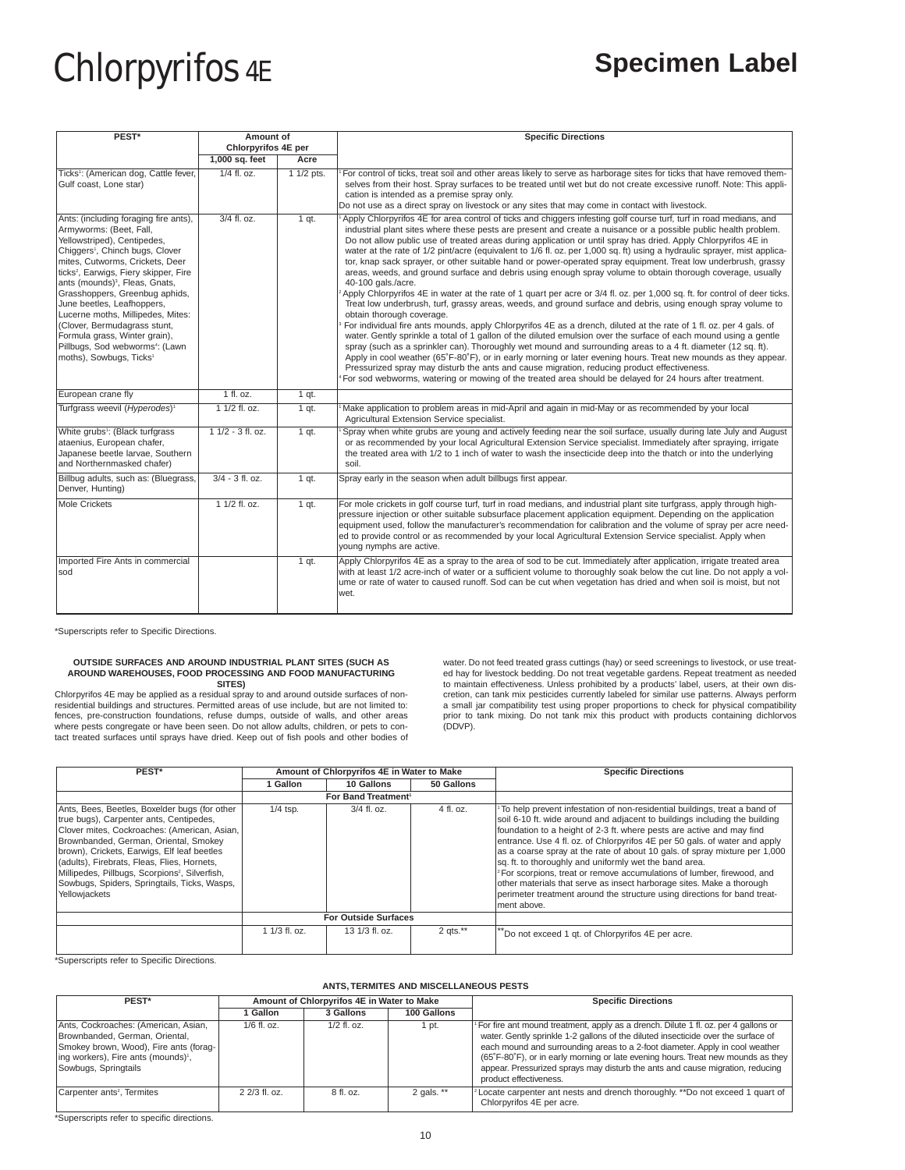| PEST <sup>*</sup>                                                                                                                                                                                                                                                                                                                                                                                                                                                                                                                                | Amount of<br>Chlorpyrifos 4E per |            | <b>Specific Directions</b>                                                                                                                                                                                                                                                                                                                                                                                                                                                                                                                                                                                                                                                                                                                                                                                                                                                                                                                                                                                                                                                                                                                                                                                                                                                                                                                                                                                                                                                                                                                                                                                                                                                                                    |  |
|--------------------------------------------------------------------------------------------------------------------------------------------------------------------------------------------------------------------------------------------------------------------------------------------------------------------------------------------------------------------------------------------------------------------------------------------------------------------------------------------------------------------------------------------------|----------------------------------|------------|---------------------------------------------------------------------------------------------------------------------------------------------------------------------------------------------------------------------------------------------------------------------------------------------------------------------------------------------------------------------------------------------------------------------------------------------------------------------------------------------------------------------------------------------------------------------------------------------------------------------------------------------------------------------------------------------------------------------------------------------------------------------------------------------------------------------------------------------------------------------------------------------------------------------------------------------------------------------------------------------------------------------------------------------------------------------------------------------------------------------------------------------------------------------------------------------------------------------------------------------------------------------------------------------------------------------------------------------------------------------------------------------------------------------------------------------------------------------------------------------------------------------------------------------------------------------------------------------------------------------------------------------------------------------------------------------------------------|--|
|                                                                                                                                                                                                                                                                                                                                                                                                                                                                                                                                                  | 1,000 sq. feet                   | Acre       |                                                                                                                                                                                                                                                                                                                                                                                                                                                                                                                                                                                                                                                                                                                                                                                                                                                                                                                                                                                                                                                                                                                                                                                                                                                                                                                                                                                                                                                                                                                                                                                                                                                                                                               |  |
| Ticks <sup>1</sup> : (American dog, Cattle fever,<br>Gulf coast, Lone star)                                                                                                                                                                                                                                                                                                                                                                                                                                                                      | $1/4$ fl. oz.                    | 1 1/2 pts. | For control of ticks, treat soil and other areas likely to serve as harborage sites for ticks that have removed them-<br>selves from their host. Spray surfaces to be treated until wet but do not create excessive runoff. Note: This appli-<br>cation is intended as a premise spray only.<br>Do not use as a direct spray on livestock or any sites that may come in contact with livestock.                                                                                                                                                                                                                                                                                                                                                                                                                                                                                                                                                                                                                                                                                                                                                                                                                                                                                                                                                                                                                                                                                                                                                                                                                                                                                                               |  |
| Ants: (including foraging fire ants),<br>Armyworms: (Beet, Fall,<br>Yellowstriped), Centipedes,<br>Chiggers <sup>1</sup> , Chinch bugs, Clover<br>mites, Cutworms, Crickets, Deer<br>ticks <sup>2</sup> , Earwigs, Fiery skipper, Fire<br>ants (mounds) <sup>3</sup> , Fleas, Gnats,<br>Grasshoppers, Greenbug aphids,<br>June beetles, Leafhoppers,<br>Lucerne moths, Millipedes, Mites:<br>(Clover, Bermudagrass stunt,<br>Formula grass, Winter grain),<br>Pillbugs, Sod webworms <sup>4</sup> : (Lawn<br>moths), Sowbugs, Ticks <sup>1</sup> | 3/4 fl. oz.                      | $1$ qt.    | Apply Chlorpyrifos 4E for area control of ticks and chiggers infesting golf course turf, turf in road medians, and<br>industrial plant sites where these pests are present and create a nuisance or a possible public health problem.<br>Do not allow public use of treated areas during application or until spray has dried. Apply Chlorpyrifos 4E in<br>water at the rate of 1/2 pint/acre (equivalent to 1/6 fl. oz. per 1,000 sq. ft) using a hydraulic sprayer, mist applica-<br>tor, knap sack sprayer, or other suitable hand or power-operated spray equipment. Treat low underbrush, grassy<br>areas, weeds, and ground surface and debris using enough spray volume to obtain thorough coverage, usually<br>40-100 gals./acre.<br>Apply Chlorpyrifos 4E in water at the rate of 1 quart per acre or 3/4 fl. oz. per 1,000 sq. ft. for control of deer ticks.<br>Treat low underbrush, turf, grassy areas, weeds, and ground surface and debris, using enough spray volume to<br>obtain thorough coverage.<br>For individual fire ants mounds, apply Chlorpyrifos 4E as a drench, diluted at the rate of 1 fl. oz. per 4 gals. of<br>water. Gently sprinkle a total of 1 gallon of the diluted emulsion over the surface of each mound using a gentle<br>spray (such as a sprinkler can). Thoroughly wet mound and surrounding areas to a 4 ft. diameter (12 sq. ft).<br>Apply in cool weather (65°F-80°F), or in early morning or later evening hours. Treat new mounds as they appear.<br>Pressurized spray may disturb the ants and cause migration, reducing product effectiveness.<br>For sod webworms, watering or mowing of the treated area should be delayed for 24 hours after treatment. |  |
| European crane fly                                                                                                                                                                                                                                                                                                                                                                                                                                                                                                                               | $1$ fl. oz.                      | $1$ qt.    |                                                                                                                                                                                                                                                                                                                                                                                                                                                                                                                                                                                                                                                                                                                                                                                                                                                                                                                                                                                                                                                                                                                                                                                                                                                                                                                                                                                                                                                                                                                                                                                                                                                                                                               |  |
| Turfgrass weevil (Hyperodes) <sup>1</sup>                                                                                                                                                                                                                                                                                                                                                                                                                                                                                                        | $11/2$ fl. oz.                   | $1$ qt.    | Make application to problem areas in mid-April and again in mid-May or as recommended by your local<br>Agricultural Extension Service specialist.                                                                                                                                                                                                                                                                                                                                                                                                                                                                                                                                                                                                                                                                                                                                                                                                                                                                                                                                                                                                                                                                                                                                                                                                                                                                                                                                                                                                                                                                                                                                                             |  |
| White grubs <sup>1</sup> : (Black turfgrass)<br>ataenius, European chafer,<br>Japanese beetle larvae, Southern<br>and Northernmasked chafer)                                                                                                                                                                                                                                                                                                                                                                                                     | $11/2 - 3$ fl. oz.               | $1$ qt.    | Spray when white grubs are young and actively feeding near the soil surface, usually during late July and August<br>or as recommended by your local Agricultural Extension Service specialist. Immediately after spraying, irrigate<br>the treated area with 1/2 to 1 inch of water to wash the insecticide deep into the thatch or into the underlying<br>soil.                                                                                                                                                                                                                                                                                                                                                                                                                                                                                                                                                                                                                                                                                                                                                                                                                                                                                                                                                                                                                                                                                                                                                                                                                                                                                                                                              |  |
| Billbug adults, such as: (Bluegrass,<br>Denver, Hunting)                                                                                                                                                                                                                                                                                                                                                                                                                                                                                         | $3/4 - 3$ fl. oz.                | $1$ qt.    | Spray early in the season when adult billbugs first appear.                                                                                                                                                                                                                                                                                                                                                                                                                                                                                                                                                                                                                                                                                                                                                                                                                                                                                                                                                                                                                                                                                                                                                                                                                                                                                                                                                                                                                                                                                                                                                                                                                                                   |  |
| <b>Mole Crickets</b>                                                                                                                                                                                                                                                                                                                                                                                                                                                                                                                             | 1 1/2 fl. oz.                    | $1$ qt.    | For mole crickets in golf course turf, turf in road medians, and industrial plant site turfgrass, apply through high-<br>pressure injection or other suitable subsurface placement application equipment. Depending on the application<br>equipment used, follow the manufacturer's recommendation for calibration and the volume of spray per acre need-<br>ed to provide control or as recommended by your local Agricultural Extension Service specialist. Apply when<br>young nymphs are active.                                                                                                                                                                                                                                                                                                                                                                                                                                                                                                                                                                                                                                                                                                                                                                                                                                                                                                                                                                                                                                                                                                                                                                                                          |  |
| Imported Fire Ants in commercial<br>sod                                                                                                                                                                                                                                                                                                                                                                                                                                                                                                          |                                  | $1$ qt.    | Apply Chlorpyrifos 4E as a spray to the area of sod to be cut. Immediately after application, irrigate treated area<br>with at least 1/2 acre-inch of water or a sufficient volume to thoroughly soak below the cut line. Do not apply a vol-<br>ume or rate of water to caused runoff. Sod can be cut when vegetation has dried and when soil is moist, but not<br>wet.                                                                                                                                                                                                                                                                                                                                                                                                                                                                                                                                                                                                                                                                                                                                                                                                                                                                                                                                                                                                                                                                                                                                                                                                                                                                                                                                      |  |

\*Superscripts refer to Specific Directions.

# **OUTSIDE SURFACES AND AROUND INDUSTRIAL PLANT SITES (SUCH AS AROUND WAREHOUSES, FOOD PROCESSING AND FOOD MANUFACTURING SITES)**

Chlorpyrifos 4E may be applied as a residual spray to and around outside surfaces of nonresidential buildings and structures. Permitted areas of use include, but are not limited to: fences, pre-construction foundations, refuse dumps, outside of walls, and other areas where pests congregate or have been seen. Do not allow adults, children, or pets to con-tact treated surfaces until sprays have dried. Keep out of fish pools and other bodies of

water. Do not feed treated grass cuttings (hay) or seed screenings to livestock, or use treated hay for livestock bedding. Do not treat vegetable gardens. Repeat treatment as needed<br>to maintain effectiveness. Unless prohibited by a products' label, users, at their own dis-<br>cretion, can tank mix pesticides currentl a small jar compatibility test using proper proportions to check for physical compatibility prior to tank mixing. Do not tank mix this product with products containing dichlorvos (DDVP).

| PEST*                                                                                                                                                                                                                                                                                                                                                                                                          |                | Amount of Chlorpyrifos 4E in Water to Make |             | <b>Specific Directions</b>                                                                                                                                                                                                                                                                                                                                                                                                                                                                                                                                                                                                                                                                                                      |
|----------------------------------------------------------------------------------------------------------------------------------------------------------------------------------------------------------------------------------------------------------------------------------------------------------------------------------------------------------------------------------------------------------------|----------------|--------------------------------------------|-------------|---------------------------------------------------------------------------------------------------------------------------------------------------------------------------------------------------------------------------------------------------------------------------------------------------------------------------------------------------------------------------------------------------------------------------------------------------------------------------------------------------------------------------------------------------------------------------------------------------------------------------------------------------------------------------------------------------------------------------------|
|                                                                                                                                                                                                                                                                                                                                                                                                                | Gallon         | 10 Gallons                                 | 50 Gallons  |                                                                                                                                                                                                                                                                                                                                                                                                                                                                                                                                                                                                                                                                                                                                 |
|                                                                                                                                                                                                                                                                                                                                                                                                                |                | For Band Treatment <sup>1</sup>            |             |                                                                                                                                                                                                                                                                                                                                                                                                                                                                                                                                                                                                                                                                                                                                 |
| Ants, Bees, Beetles, Boxelder bugs (for other<br>true bugs), Carpenter ants, Centipedes,<br>Clover mites, Cockroaches: (American, Asian,<br>Brownbanded, German, Oriental, Smokey<br>brown), Crickets, Earwigs, Elf leaf beetles<br>(adults), Firebrats, Fleas, Flies, Hornets,<br>Millipedes, Pillbugs, Scorpions <sup>2</sup> , Silverfish,<br>Sowbugs, Spiders, Springtails, Ticks, Wasps,<br>Yellowjackets | $1/4$ tsp.     | 3/4 fl. oz.                                | 4 fl. oz.   | <sup>1</sup> To help prevent infestation of non-residential buildings, treat a band of<br>soil 6-10 ft. wide around and adjacent to buildings including the building<br>foundation to a height of 2-3 ft. where pests are active and may find<br>entrance. Use 4 fl. oz. of Chlorpyrifos 4E per 50 gals. of water and apply<br>as a coarse spray at the rate of about 10 gals. of spray mixture per 1,000<br>sq. ft. to thoroughly and uniformly wet the band area.<br><sup>2</sup> For scorpions, treat or remove accumulations of lumber, firewood, and<br>other materials that serve as insect harborage sites. Make a thorough<br>perimeter treatment around the structure using directions for band treat-<br>Iment above. |
|                                                                                                                                                                                                                                                                                                                                                                                                                |                | <b>For Outside Surfaces</b>                |             |                                                                                                                                                                                                                                                                                                                                                                                                                                                                                                                                                                                                                                                                                                                                 |
|                                                                                                                                                                                                                                                                                                                                                                                                                | $11/3$ fl. oz. | $131/3$ fl. oz.                            | 2 qts. $**$ | Do not exceed 1 gt. of Chlorpyrifos 4E per acre.                                                                                                                                                                                                                                                                                                                                                                                                                                                                                                                                                                                                                                                                                |

\*Superscripts refer to Specific Directions.

# **ANTS, TERMITES AND MISCELLANEOUS PESTS**

| PEST*                                                                                                                                                                                        | Amount of Chlorpyrifos 4E in Water to Make |               |              | <b>Specific Directions</b>                                                                                                                                                                                                                                                                                                                                                                                                                                          |
|----------------------------------------------------------------------------------------------------------------------------------------------------------------------------------------------|--------------------------------------------|---------------|--------------|---------------------------------------------------------------------------------------------------------------------------------------------------------------------------------------------------------------------------------------------------------------------------------------------------------------------------------------------------------------------------------------------------------------------------------------------------------------------|
|                                                                                                                                                                                              | Gallon                                     | 3 Gallons     | 100 Gallons  |                                                                                                                                                                                                                                                                                                                                                                                                                                                                     |
| Ants, Cockroaches: (American, Asian,<br>Brownbanded, German, Oriental,<br>Smokey brown, Wood), Fire ants (forag-<br>ling workers), Fire ants (mounds) <sup>1</sup> ,<br>Sowbugs, Springtails | $1/6$ fl. oz.                              | $1/2$ fl. oz. | pt.          | <sup>1</sup> For fire ant mound treatment, apply as a drench. Dilute 1 fl. oz. per 4 gallons or<br>water. Gently sprinkle 1-2 gallons of the diluted insecticide over the surface of<br>each mound and surrounding areas to a 2-foot diameter. Apply in cool weather<br>(65°F-80°F), or in early morning or late evening hours. Treat new mounds as they<br>appear. Pressurized sprays may disturb the ants and cause migration, reducing<br>product effectiveness. |
| Carpenter ants <sup>2</sup> , Termites                                                                                                                                                       | $22/3$ fl. oz.                             | $8$ fl. oz.   | 2 gals. $**$ | <sup>2</sup> Locate carpenter ant nests and drench thoroughly. ** Do not exceed 1 quart of<br>Chlorpyrifos 4E per acre.                                                                                                                                                                                                                                                                                                                                             |

\*Superscripts refer to specific directions.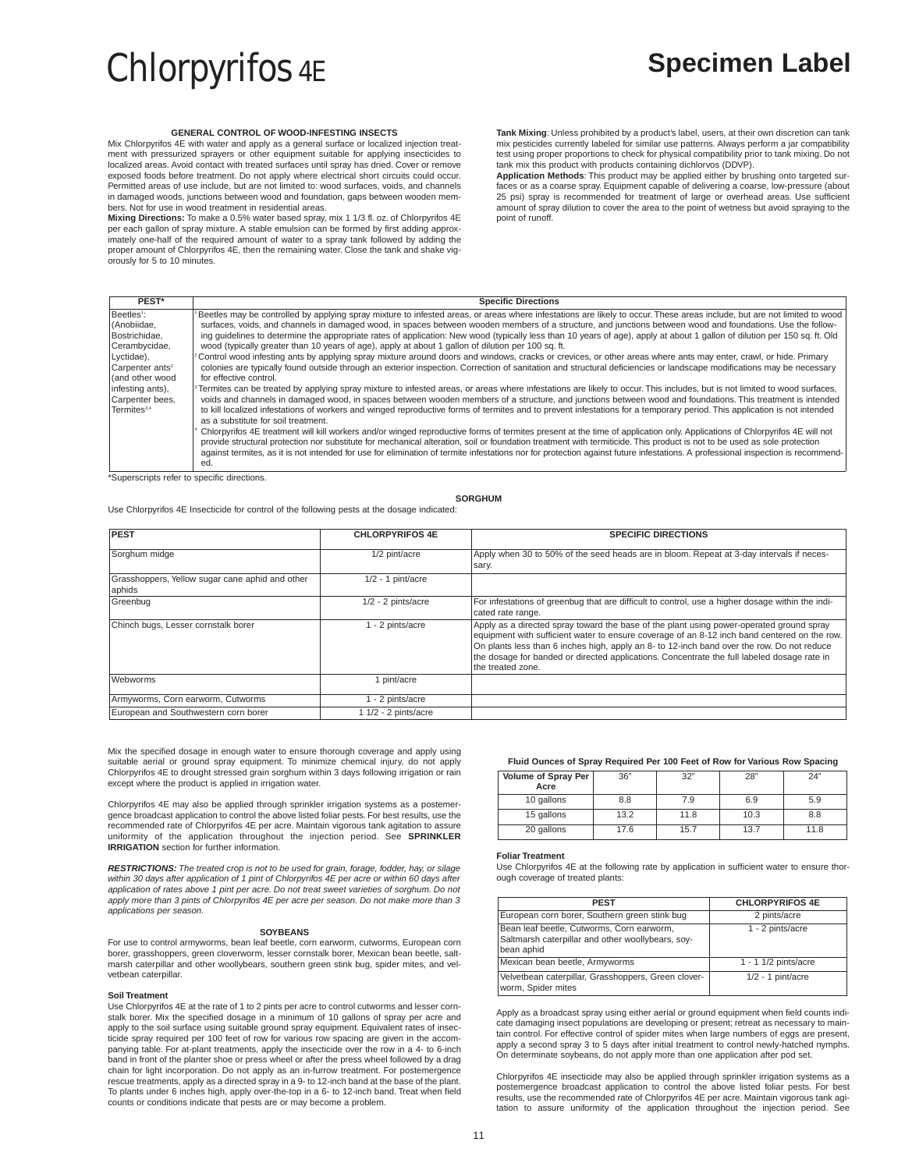# **GENERAL CONTROL OF WOOD-INFESTING INSECTS**

Mix Chlorpyrifos 4E with water and apply as a general surface or localized injection treatment with pressurized sprayers or other equipment suitable for applying insecticides to localized areas. Avoid contact with treated surfaces until spray has dried. Cover or remove exposed foods before treatment. Do not apply where electrical short circuits could occur. Permitted areas of use include, but are not limited to: wood surfaces, voids, and channels in damaged woods, junctions between wood and foundation, gaps between wooden members. Not for use in wood treatment in residential areas.

**Mixing Directions:** To make a 0.5% water based spray, mix 1 1/3 fl. oz. of Chlorpyrifos 4E per each gallon of spray mixture. A stable emulsion can be formed by first adding approximately one-half of the required amount of water to a spray tank followed by adding the proper amount of Chlorpyrifos 4E, then the remaining water. Close the tank and shake vigorously for 5 to 10 minutes.

**Tank Mixing**: Unless prohibited by a product's label, users, at their own discretion can tank mix pesticides currently labeled for similar use patterns. Always perform a jar compatibility test using proper proportions to check for physical compatibility prior to tank mixing. Do not tank mix this product with products containing dichlorvos (DDVP).

**Application Methods**: This product may be applied either by brushing onto targeted surfaces or as a coarse spray. Equipment capable of delivering a coarse, low-pressure (about 25 psi) spray is recommended for treatment of large or overhead areas. Use sufficient amount of spray dilution to cover the area to the point of wetness but avoid spraying to the point of runoff.

| PEST*                       | <b>Specific Directions</b>                                                                                                                                                      |
|-----------------------------|---------------------------------------------------------------------------------------------------------------------------------------------------------------------------------|
| Beetles <sup>1</sup> :      | Beetles may be controlled by applying spray mixture to infested areas, or areas where infestations are likely to occur. These areas include, but are not limited to wood        |
| I(Anobiidae.                | surfaces, voids, and channels in damaged wood, in spaces between wooden members of a structure, and junctions between wood and foundations. Use the follow-                     |
| Bostrichidae,               | ing quidelines to determine the appropriate rates of application: New wood (typically less than 10 years of age), apply at about 1 gallon of dilution per 150 sq. ft. Old       |
| Cerambycidae,               | wood (typically greater than 10 years of age), apply at about 1 gallon of dilution per 100 sq. ft.                                                                              |
| Lyctidae),                  | Control wood infesting ants by applying spray mixture around doors and windows, cracks or crevices, or other areas where ants may enter, crawl, or hide. Primary                |
| Carpenter ants <sup>2</sup> | colonies are typically found outside through an exterior inspection. Correction of sanitation and structural deficiencies or landscape modifications may be necessary           |
| l(and other wood            | for effective control.                                                                                                                                                          |
| infesting ants),            | Termites can be treated by applying spray mixture to infested areas, or areas where infestations are likely to occur. This includes, but is not limited to wood surfaces,       |
| Carpenter bees,             | voids and channels in damaged wood, in spaces between wooden members of a structure, and junctions between wood and foundations. This treatment is intended                     |
| Termites <sup>3,4</sup>     | to kill localized infestations of workers and winged reproductive forms of termites and to prevent infestations for a temporary period. This application is not intended        |
|                             | as a substitute for soil treatment.                                                                                                                                             |
|                             | Chlorpyrifos 4E treatment will kill workers and/or winged reproductive forms of termites present at the time of application only. Applications of Chlorpyrifos 4E will not      |
|                             | provide structural protection nor substitute for mechanical alteration, soil or foundation treatment with termiticide. This product is not to be used as sole protection        |
|                             | against termites, as it is not intended for use for elimination of termite infestations nor for protection against future infestations. A professional inspection is recommend- |
|                             | ed.                                                                                                                                                                             |

\*Superscripts refer to specific directions.

**SORGHUM**

Use Chlorpyrifos 4E Insecticide for control of the following pests at the dosage indicated:

| <b>PEST</b>                                               | <b>CHLORPYRIFOS 4E</b> | <b>SPECIFIC DIRECTIONS</b>                                                                                                                                                                                                                                                                                                                                                                                 |
|-----------------------------------------------------------|------------------------|------------------------------------------------------------------------------------------------------------------------------------------------------------------------------------------------------------------------------------------------------------------------------------------------------------------------------------------------------------------------------------------------------------|
| Sorghum midge                                             | 1/2 pint/acre          | Apply when 30 to 50% of the seed heads are in bloom. Repeat at 3-day intervals if neces-<br>sary.                                                                                                                                                                                                                                                                                                          |
| Grasshoppers, Yellow sugar cane aphid and other<br>aphids | $1/2 - 1$ pint/acre    |                                                                                                                                                                                                                                                                                                                                                                                                            |
| Greenbug                                                  | $1/2 - 2$ pints/acre   | For infestations of greenbug that are difficult to control, use a higher dosage within the indi-<br>cated rate range.                                                                                                                                                                                                                                                                                      |
| Chinch bugs, Lesser cornstalk borer                       | 1 - 2 pints/acre       | Apply as a directed spray toward the base of the plant using power-operated ground spray<br>equipment with sufficient water to ensure coverage of an 8-12 inch band centered on the row.<br>On plants less than 6 inches high, apply an 8- to 12-inch band over the row. Do not reduce<br>the dosage for banded or directed applications. Concentrate the full labeled dosage rate in<br>the treated zone. |
| Webworms                                                  | pint/acre              |                                                                                                                                                                                                                                                                                                                                                                                                            |
| Armyworms, Corn earworm, Cutworms                         | 1 - 2 pints/acre       |                                                                                                                                                                                                                                                                                                                                                                                                            |
| European and Southwestern corn borer                      | 1 1/2 - 2 pints/acre   |                                                                                                                                                                                                                                                                                                                                                                                                            |

Mix the specified dosage in enough water to ensure thorough coverage and apply using suitable aerial or ground spray equipment. To minimize chemical injury, do not apply Chlorpyrifos 4E to drought stressed grain sorghum within 3 days following irrigation or rain except where the product is applied in irrigation water.

Chlorpyrifos 4E may also be applied through sprinkler irrigation systems as a postemergence broadcast application to control the above listed foliar pests. For best results, use the recommended rate of Chlorpyrifos 4E per acre. Maintain vigorous tank agitation to assure uniformity of the application throughout the injection period. See **SPRINKLER IRRIGATION** section for further information.

**RESTRICTIONS:** The treated crop is not to be used for grain, forage, fodder, hay, or silage within 30 days after application of 1 pint of Chlorpyrifos 4E per acre or within 60 days after application of rates above 1 pint per acre. Do not treat sweet varieties of sorghum. Do not apply more than 3 pints of Chlorpyrifos 4E per acre per season. Do not make more than 3 applications per season.

# **SOYBEANS**

For use to control armyworms, bean leaf beetle, corn earworm, cutworms, European corn borer, grasshoppers, green cloverworm, lesser cornstalk borer, Mexican bean beetle, saltmarsh caterpillar and other woollybears, southern green stink bug, spider mites, and velvetbean caterpillar.

# **Soil Treatment**

Use Chlorpyrifos 4E at the rate of 1 to 2 pints per acre to control cutworms and lesser cornstalk borer. Mix the specified dosage in a minimum of 10 gallons of spray per acre and apply to the soil surface using suitable ground spray equipment. Equivalent rates of insec-ticide spray required per 100 feet of row for various row spacing are given in the accompanying table. For at-plant treatments, apply the insecticide over the row in a 4- to 6-inch band in front of the planter shoe or press wheel or after the press wheel followed by a drag chain for light incorporation. Do not apply as an in-furrow treatment. For postemergence rescue treatments, apply as a directed spray in a 9- to 12-inch band at the base of the plant. To plants under 6 inches high, apply over-the-top in a 6- to 12-inch band. Treat when field counts or conditions indicate that pests are or may become a problem.

## **Fluid Ounces of Spray Required Per 100 Feet of Row for Various Row Spacing**

| Volume of Spray Per<br>Acre | 36"  | 32"  | 28"  | 24"  |
|-----------------------------|------|------|------|------|
| 10 gallons                  | 8.8  | 7.9  | 6.9  | 5.9  |
| 15 gallons                  | 13.2 | 11.8 | 10.3 | 8.8  |
| 20 gallons                  | 17.6 | 15.7 | 13.7 | 11.8 |

## **Foliar Treatment**

Use Chlorpyrifos 4E at the following rate by application in sufficient water to ensure thorough coverage of treated plants:

| <b>PEST</b>                                                                                                  | <b>CHLORPYRIFOS 4E</b> |
|--------------------------------------------------------------------------------------------------------------|------------------------|
| European corn borer, Southern green stink bug                                                                | 2 pints/acre           |
| Bean leaf beetle, Cutworms, Corn earworm,<br>Saltmarsh caterpillar and other woollybears, soy-<br>bean aphid | 1 - 2 pints/acre       |
| Mexican bean beetle, Armyworms                                                                               | $1 - 1$ 1/2 pints/acre |
| Velvetbean caterpillar, Grasshoppers, Green clover-<br>worm, Spider mites                                    | $1/2 - 1$ pint/acre    |

Apply as a broadcast spray using either aerial or ground equipment when field counts indicate damaging insect populations are developing or present; retreat as necessary to main-tain control. For effective control of spider mites when large numbers of eggs are present, apply a second spray 3 to 5 days after initial treatment to control newly-hatched nymphs. On determinate soybeans, do not apply more than one application after pod set.

Chlorpyrifos 4E insecticide may also be applied through sprinkler irrigation systems as a postemergence broadcast application to control the above listed foliar pests. For best results, use the recommended rate of Chlorpyrifos 4E per acre. Maintain vigorous tank agi-tation to assure uniformity of the application throughout the injection period. See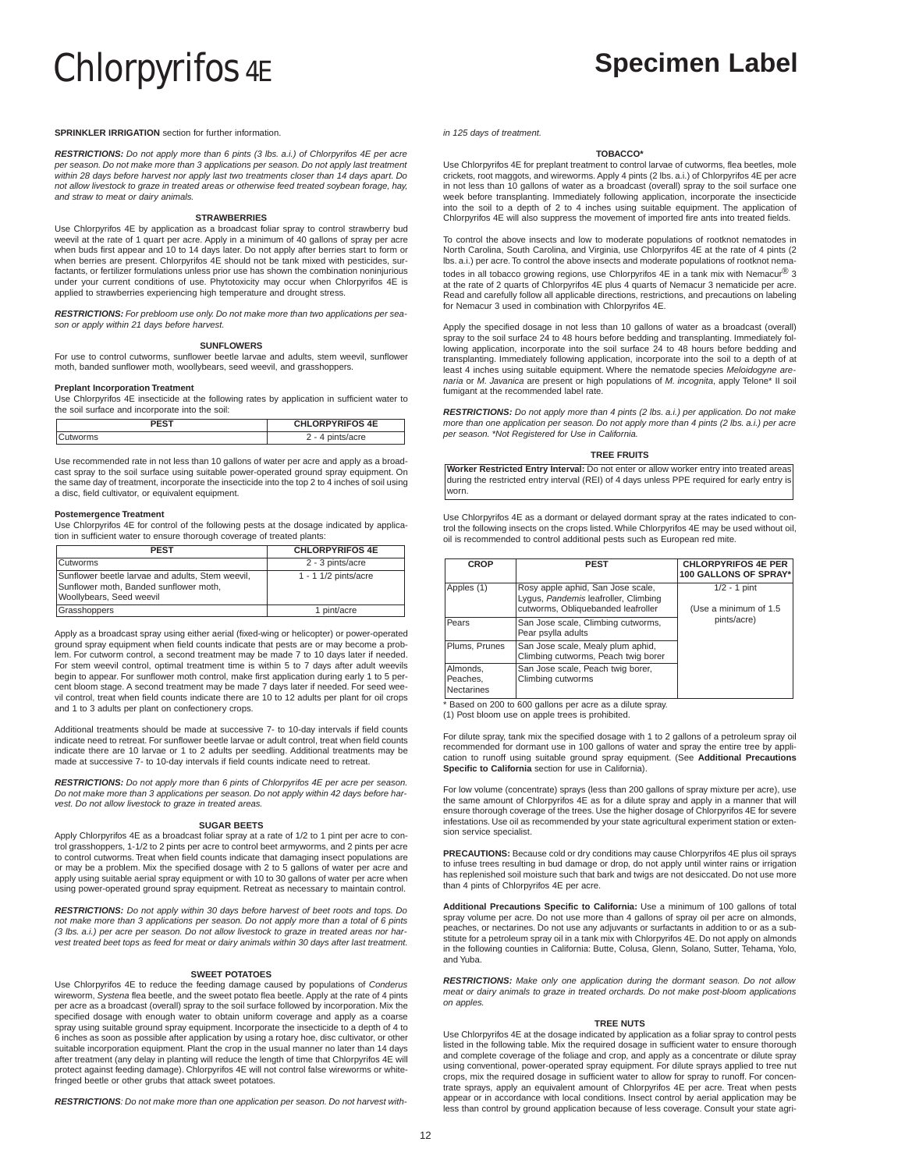**SPRINKLER IRRIGATION** section for further information.

**RESTRICTIONS:** Do not apply more than 6 pints (3 lbs. a.i.) of Chlorpyrifos 4E per acre per season. Do not make more than 3 applications per season. Do not apply last treatment within 28 days before harvest nor apply last two treatments closer than 14 days apart. Do not allow livestock to graze in treated areas or otherwise feed treated soybean forage, hay, and straw to meat or dairy animals.

# **STRAWBERRIES**

Use Chlorpyrifos 4E by application as a broadcast foliar spray to control strawberry bud weevil at the rate of 1 quart per acre. Apply in a minimum of 40 gallons of spray per acre when buds first appear and 10 to 14 days later. Do not apply after berries start to form or when berries are present. Chlorpyrifos 4E should not be tank mixed with pesticides, surfactants, or fertilizer formulations unless prior use has shown the combination noninjurious under your current conditions of use. Phytotoxicity may occur when Chlorpyrifos 4E is applied to strawberries experiencing high temperature and drought stress.

**RESTRICTIONS:** For prebloom use only. Do not make more than two applications per season or apply within 21 days before harvest.

## **SUNFLOWERS**

For use to control cutworms, sunflower beetle larvae and adults, stem weevil, sunflower moth, banded sunflower moth, woollybears, seed weevil, and grasshoppers.

# **Preplant Incorporation Treatment**

Use Chlorpyrifos 4E insecticide at the following rates by application in sufficient water to the soil surface and incorporate into the soil:

|         | <b>CHLORPYRIFOS 4E</b> |
|---------|------------------------|
| utworms | s/acre<br>f            |

Use recommended rate in not less than 10 gallons of water per acre and apply as a broadcast spray to the soil surface using suitable power-operated ground spray equipment. On the same day of treatment, incorporate the insecticide into the top 2 to 4 inches of soil using a disc, field cultivator, or equivalent equipment.

## **Postemergence Treatment**

Use Chlorpyrifos 4E for control of the following pests at the dosage indicated by application in sufficient water to ensure thorough coverage of treated plants:

| <b>PEST</b>                                                                                                            | <b>CHLORPYRIFOS 4E</b> |
|------------------------------------------------------------------------------------------------------------------------|------------------------|
| <b>Cutworms</b>                                                                                                        | 2 - 3 pints/acre       |
| Sunflower beetle larvae and adults, Stem weevil,<br>Sunflower moth, Banded sunflower moth,<br>Woollybears, Seed weevil | $1 - 1$ 1/2 pints/acre |
| Grasshoppers                                                                                                           | 1 pint/acre            |

Apply as a broadcast spray using either aerial (fixed-wing or helicopter) or power-operated ground spray equipment when field counts indicate that pests are or may become a prob-lem. For cutworm control, a second treatment may be made 7 to 10 days later if needed. For stem weevil control, optimal treatment time is within 5 to 7 days after adult weevils begin to appear. For sunflower moth control, make first application during early 1 to 5 percent bloom stage. A second treatment may be made 7 days later if needed. For seed weevil control, treat when field counts indicate there are 10 to 12 adults per plant for oil crops and 1 to 3 adults per plant on confectionery crops.

Additional treatments should be made at successive 7- to 10-day intervals if field counts indicate need to retreat. For sunflower beetle larvae or adult control, treat when field counts indicate there are 10 larvae or 1 to 2 adults per seedling. Additional treatments may be made at successive 7- to 10-day intervals if field counts indicate need to retreat.

**RESTRICTIONS:** Do not apply more than 6 pints of Chlorpyrifos 4E per acre per season. Do not make more than 3 applications per season. Do not apply within 42 days before harvest. Do not allow livestock to graze in treated areas.

## **SUGAR BEETS**

Apply Chlorpyrifos 4E as a broadcast foliar spray at a rate of 1/2 to 1 pint per acre to control grasshoppers, 1-1/2 to 2 pints per acre to control beet armyworms, and 2 pints per acre to control cutworms. Treat when field counts indicate that damaging insect populations are or may be a problem. Mix the specified dosage with 2 to 5 gallons of water per acre and apply using suitable aerial spray equipment or with 10 to 30 gallons of water per acre when using power-operated ground spray equipment. Retreat as necessary to maintain control.

**RESTRICTIONS:** Do not apply within 30 days before harvest of beet roots and tops. Do not make more than 3 applications per season. Do not apply more than a total of 6 pints (3 lbs. a.i.) per acre per season. Do not allow livestock to graze in treated areas nor harvest treated beet tops as feed for meat or dairy animals within 30 days after last treatment.

# **SWEET POTATOES**

Use Chlorpyrifos 4E to reduce the feeding damage caused by populations of Conderus<br>wireworm, Systena flea beetle, and the sweet potato flea beetle. Apply at the rate of 4 pints per acre as a broadcast (overall) spray to the soil surface followed by incorporation. Mix the specified dosage with enough water to obtain uniform coverage and apply as a coarse spray using suitable ground spray equipment. Incorporate the insecticide to a depth of 4 to 6 inches as soon as possible after application by using a rotary hoe, disc cultivator, or other suitable incorporation equipment. Plant the crop in the usual manner no later than 14 days after treatment (any delay in planting will reduce the length of time that Chlorpyrifos 4E will protect against feeding damage). Chlorpyrifos 4E will not control false wireworms or white-fringed beetle or other grubs that attack sweet potatoes.

**RESTRICTIONS**: Do not make more than one application per season. Do not harvest with-

in 125 days of treatment.

# **TOBACCO\***

Use Chlorpyrifos 4E for preplant treatment to control larvae of cutworms, flea beetles, mole crickets, root maggots, and wireworms. Apply 4 pints (2 lbs. a.i.) of Chlorpyrifos 4E per acre in not less than 10 gallons of water as a broadcast (overall) spray to the soil surface one week before transplanting. Immediately following application, incorporate the insecticide into the soil to a depth of 2 to 4 inches using suitable equipment. The application of Chlorpyrifos 4E will also suppress the movement of imported fire ants into treated fields.

To control the above insects and low to moderate populations of rootknot nematodes in North Carolina, South Carolina, and Virginia, use Chlorpyrifos 4E at the rate of 4 pints (2 lbs. a.i.) per acre. To control the above insects and moderate populations of rootknot nematodes in all tobacco growing regions, use Chlorpyrifos 4E in a tank mix with Nemacur $^{\circledR}$  3 at the rate of 2 quarts of Chlorpyrifos 4E plus 4 quarts of Nemacur 3 nematicide per acre. Read and carefully follow all applicable directions, restrictions, and precautions on labeling for Nemacur 3 used in combination with Chlorpyrifos 4E.

Apply the specified dosage in not less than 10 gallons of water as a broadcast (overall) spray to the soil surface 24 to 48 hours before bedding and transplanting. Immediately following application, incorporate into the soil surface 24 to 48 hours before bedding and transplanting. Immediately following application, incorporate into the soil to a depth of at least 4 inches using suitable equipment. Where the nematode species Meloidogyne arenaria or M. Javanica are present or high populations of M. incognita, apply Telone\* II soil fumigant at the recommended label rate.

**RESTRICTIONS:** Do not apply more than 4 pints (2 lbs. a.i.) per application. Do not make more than one application per season. Do not apply more than 4 pints (2 lbs. a.i.) per acre per season. \*Not Registered for Use in California.

# **TREE FRUITS**

**Worker Restricted Entry Interval:** Do not enter or allow worker entry into treated areas during the restricted entry interval (REI) of 4 days unless PPE required for early entry is worn.

Use Chlorpyrifos 4E as a dormant or delayed dormant spray at the rates indicated to control the following insects on the crops listed. While Chlorpyrifos 4E may be used without oil, oil is recommended to control additional pests such as European red mite.

| <b>CROP</b>                               | <b>PEST</b>                                                                                                     | <b>CHLORPYRIFOS 4E PER</b><br>100 GALLONS OF SPRAY* |
|-------------------------------------------|-----------------------------------------------------------------------------------------------------------------|-----------------------------------------------------|
| Apples (1)                                | Rosy apple aphid, San Jose scale,<br>Lygus, Pandemis leafroller, Climbing<br>cutworms, Obliquebanded leafroller | $1/2 - 1$ pint<br>(Use a minimum of 1.5)            |
| Pears                                     | San Jose scale, Climbing cutworms,<br>Pear psylla adults                                                        | pints/acre)                                         |
| Plums, Prunes                             | San Jose scale, Mealy plum aphid,<br>Climbing cutworms, Peach twig borer                                        |                                                     |
| Almonds.<br>Peaches.<br><b>Nectarines</b> | San Jose scale, Peach twig borer,<br>Climbing cutworms                                                          |                                                     |

\* Based on 200 to 600 gallons per acre as a dilute spray.

(1) Post bloom use on apple trees is prohibited.

For dilute spray, tank mix the specified dosage with 1 to 2 gallons of a petroleum spray oil recommended for dormant use in 100 gallons of water and spray the entire tree by application to runoff using suitable ground spray equipment. (See **Additional Precautions Specific to California** section for use in California).

For low volume (concentrate) sprays (less than 200 gallons of spray mixture per acre), use the same amount of Chlorpyrifos 4E as for a dilute spray and apply in a manner that will ensure thorough coverage of the trees. Use the higher dosage of Chlorpyrifos 4E for severe infestations. Use oil as recommended by your state agricultural experiment station or extension service specialist.

**PRECAUTIONS:** Because cold or dry conditions may cause Chlorpyrifos 4E plus oil sprays to infuse trees resulting in bud damage or drop, do not apply until winter rains or irrigation has replenished soil moisture such that bark and twigs are not desiccated. Do not use more than 4 pints of Chlorpyrifos 4E per acre.

**Additional Precautions Specific to California:** Use a minimum of 100 gallons of total spray volume per acre. Do not use more than 4 gallons of spray oil per acre on almonds, peaches, or nectarines. Do not use any adjuvants or surfactants in addition to or as a substitute for a petroleum spray oil in a tank mix with Chlorpyrifos 4E. Do not apply on almonds in the following counties in California: Butte, Colusa, Glenn, Solano, Sutter, Tehama, Yolo, and Yuba.

**RESTRICTIONS:** Make only one application during the dormant season. Do not allow meat or dairy animals to graze in treated orchards. Do not make post-bloom applications on apples.

## **TREE NUTS**

Use Chlorpyrifos 4E at the dosage indicated by application as a foliar spray to control pests listed in the following table. Mix the required dosage in sufficient water to ensure thorough and complete coverage of the foliage and crop, and apply as a concentrate or dilute spray using conventional, power-operated spray equipment. For dilute sprays applied to tree nut crops, mix the required dosage in sufficient water to allow for spray to runoff. For concentrate sprays, apply an equivalent amount of Chlorpyrifos 4E per acre. Treat when pests appear or in accordance with local conditions. Insect control by aerial application may be less than control by ground application because of less coverage. Consult your state agri-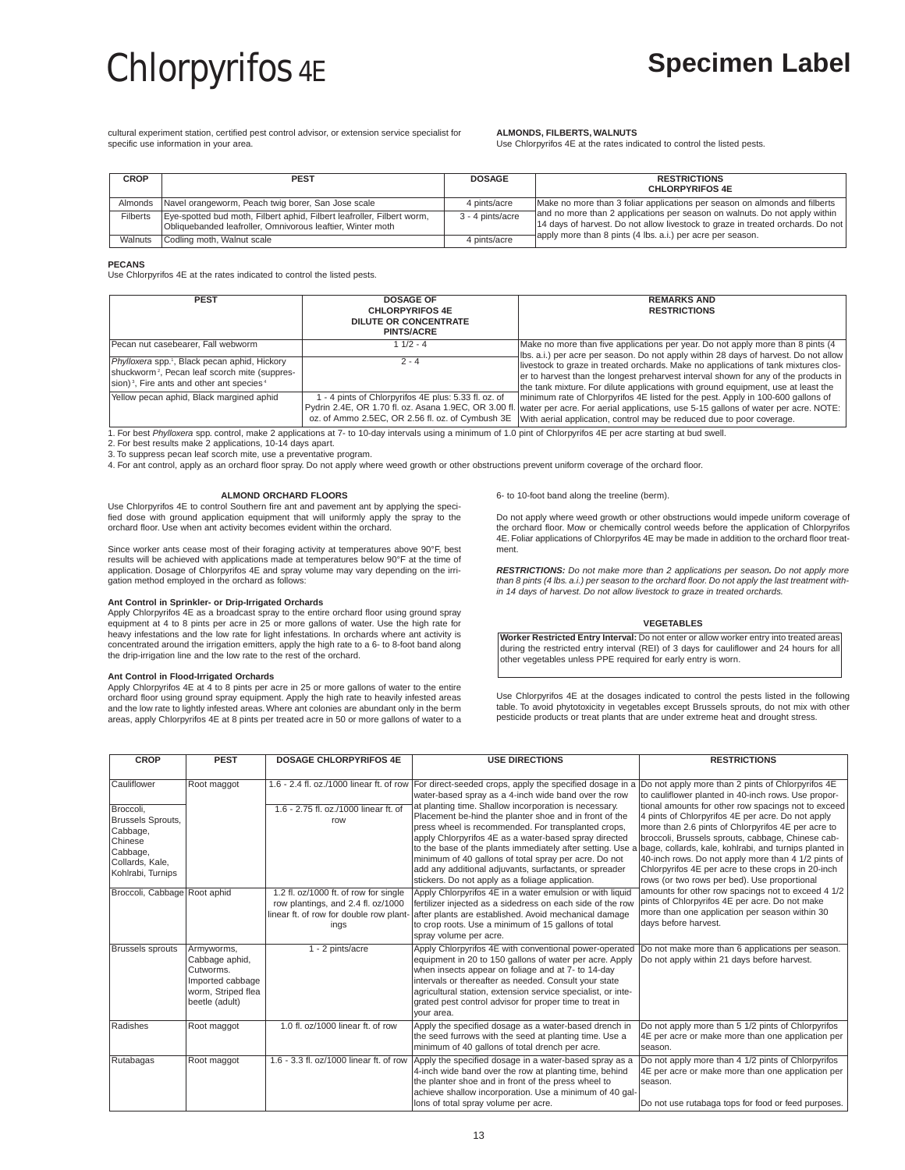cultural experiment station, certified pest control advisor, or extension service specialist for specific use information in your area.

# **ALMONDS, FILBERTS, WALNUTS**

Use Chlorpyrifos 4E at the rates indicated to control the listed pests.

| <b>CROP</b>     | <b>PEST</b>                                                                                                                          | <b>DOSAGE</b>    | <b>RESTRICTIONS</b><br><b>CHLORPYRIFOS 4E</b>                                                                                                                                                                               |
|-----------------|--------------------------------------------------------------------------------------------------------------------------------------|------------------|-----------------------------------------------------------------------------------------------------------------------------------------------------------------------------------------------------------------------------|
| Almonds         | Navel orangeworm, Peach twig borer, San Jose scale                                                                                   | 4 pints/acre     | Make no more than 3 foliar applications per season on almonds and filberts                                                                                                                                                  |
| <b>Filberts</b> | Eye-spotted bud moth, Filbert aphid, Filbert leafroller, Filbert worm,<br>Obliquebanded leafroller, Omnivorous leaftier, Winter moth | 3 - 4 pints/acre | and no more than 2 applications per season on walnuts. Do not apply within<br>14 days of harvest. Do not allow livestock to graze in treated orchards. Do not<br>apply more than 8 pints (4 lbs. a.i.) per acre per season. |
| Walnuts         | Codling moth, Walnut scale                                                                                                           | 4 pints/acre     |                                                                                                                                                                                                                             |

# **PECANS**

Use Chlorpyrifos 4E at the rates indicated to control the listed pests.

| <b>PEST</b>                                                                                                                    | <b>DOSAGE OF</b><br><b>CHLORPYRIFOS 4E</b><br><b>DILUTE OR CONCENTRATE</b><br><b>PINTS/ACRE</b> | <b>REMARKS AND</b><br><b>RESTRICTIONS</b>                                                                                                                                                                                                                                                                                                              |
|--------------------------------------------------------------------------------------------------------------------------------|-------------------------------------------------------------------------------------------------|--------------------------------------------------------------------------------------------------------------------------------------------------------------------------------------------------------------------------------------------------------------------------------------------------------------------------------------------------------|
| Pecan nut casebearer, Fall webworm<br>Phylloxera spp. <sup>1</sup> , Black pecan aphid, Hickory                                | $11/2 - 4$<br>$2 - 4$                                                                           | Make no more than five applications per year. Do not apply more than 8 pints (4<br>Ibs. a.i.) per acre per season. Do not apply within 28 days of harvest. Do not allow                                                                                                                                                                                |
| shuckworm <sup>2</sup> , Pecan leaf scorch mite (suppres-<br>sion) <sup>3</sup> , Fire ants and other ant species <sup>4</sup> |                                                                                                 | livestock to graze in treated orchards. Make no applications of tank mixtures clos-<br>er to harvest than the longest preharvest interval shown for any of the products in<br>the tank mixture. For dilute applications with ground equipment, use at least the                                                                                        |
| Yellow pecan aphid, Black margined aphid                                                                                       | - 4 pints of Chlorpyrifos 4E plus: 5.33 fl. oz. of                                              | minimum rate of Chlorpyrifos 4E listed for the pest. Apply in 100-600 gallons of<br>Pydrin 2.4E, OR 1.70 fl. oz. Asana 1.9EC, OR 3.00 fl. water per acre. For aerial applications, use 5-15 gallons of water per acre. NOTE:<br>oz. of Ammo 2.5EC, OR 2.56 fl. oz. of Cymbush 3E With aerial application, control may be reduced due to poor coverage. |

1. For best Phylloxera spp. control, make 2 applications at 7- to 10-day intervals using a minimum of 1.0 pint of Chlorpyrifos 4E per acre starting at bud swell.

2. For best results make 2 applications, 10-14 days apart.

3. To suppress pecan leaf scorch mite, use a preventative program.

4. For ant control, apply as an orchard floor spray. Do not apply where weed growth or other obstructions prevent uniform coverage of the orchard floor.

# **ALMOND ORCHARD FLOORS**

Use Chlorpyrifos 4E to control Southern fire ant and pavement ant by applying the specified dose with ground application equipment that will uniformly apply the spray to the orchard floor. Use when ant activity becomes evident within the orchard.

Since worker ants cease most of their foraging activity at temperatures above 90°F, best results will be achieved with applications made at temperatures below 90°F at the time of application. Dosage of Chlorpyrifos 4E and spray volume may vary depending on the irrigation method employed in the orchard as follows:

# **Ant Control in Sprinkler- or Drip-Irrigated Orchards**

Apply Chlorpyrifos 4E as a broadcast spray to the entire orchard floor using ground spray equipment at 4 to 8 pints per acre in 25 or more gallons of water. Use the high rate for heavy infestations and the low rate for light infestations. In orchards where ant activity is concentrated around the irrigation emitters, apply the high rate to a 6- to 8-foot band along the drip-irrigation line and the low rate to the rest of the orchard.

**Ant Control in Flood-Irrigated Orchards** Apply Chlorpyrifos 4E at 4 to 8 pints per acre in 25 or more gallons of water to the entire orchard floor using ground spray equipment. Apply the high rate to heavily infested areas and the low rate to lightly infested areas. Where ant colonies are abundant only in the berm areas, apply Chlorpyrifos 4E at 8 pints per treated acre in 50 or more gallons of water to a

6- to 10-foot band along the treeline (berm).

Do not apply where weed growth or other obstructions would impede uniform coverage of the orchard floor. Mow or chemically control weeds before the application of Chlorpyrifos 4E. Foliar applications of Chlorpyrifos 4E may be made in addition to the orchard floor treatment.

**RESTRICTIONS:** Do not make more than 2 applications per season**.** Do not apply more than 8 pints (4 lbs. a.i.) per season to the orchard floor. Do not apply the last treatment within 14 days of harvest. Do not allow livestock to graze in treated orchards.

# **VEGETABLES**

**Worker Restricted Entry Interval:** Do not enter or allow worker entry into treated areas during the restricted entry interval (REI) of 3 days for cauliflower and 24 hours for all other vegetables unless PPE required for early entry is worn.

Use Chlorpyrifos 4E at the dosages indicated to control the pests listed in the following table. To avoid phytotoxicity in vegetables except Brussels sprouts, do not mix with other pesticide products or treat plants that are under extreme heat and drought stress.

| <b>CROP</b>                                                                                                      | <b>PEST</b>                                                                                           | <b>DOSAGE CHLORPYRIFOS 4E</b>                                                                                                 | <b>USE DIRECTIONS</b>                                                                                                                                                                                                                                                                                                                                                                                                                                                                                                       | <b>RESTRICTIONS</b>                                                                                                                                                                                                                                                                                                                                                                                                                                                                                                                                                |
|------------------------------------------------------------------------------------------------------------------|-------------------------------------------------------------------------------------------------------|-------------------------------------------------------------------------------------------------------------------------------|-----------------------------------------------------------------------------------------------------------------------------------------------------------------------------------------------------------------------------------------------------------------------------------------------------------------------------------------------------------------------------------------------------------------------------------------------------------------------------------------------------------------------------|--------------------------------------------------------------------------------------------------------------------------------------------------------------------------------------------------------------------------------------------------------------------------------------------------------------------------------------------------------------------------------------------------------------------------------------------------------------------------------------------------------------------------------------------------------------------|
| Cauliflower                                                                                                      | Root maggot                                                                                           |                                                                                                                               | 1.6 - 2.4 fl. oz./1000 linear ft. of row For direct-seeded crops, apply the specified dosage in a Do not apply more than 2 pints of Chlorpyrifos 4E<br>water-based spray as a 4-inch wide band over the row                                                                                                                                                                                                                                                                                                                 | to cauliflower planted in 40-inch rows. Use propor-                                                                                                                                                                                                                                                                                                                                                                                                                                                                                                                |
| Broccoli,<br><b>Brussels Sprouts,</b><br>Cabbage,<br>Chinese<br>Cabbage,<br>Collards, Kale,<br>Kohlrabi, Turnips |                                                                                                       | 1.6 - 2.75 fl. oz./1000 linear ft. of<br>row                                                                                  | at planting time. Shallow incorporation is necessary.<br>Placement be-hind the planter shoe and in front of the<br>press wheel is recommended. For transplanted crops,<br>apply Chlorpyrifos 4E as a water-based spray directed<br>to the base of the plants immediately after setting. Use a bage, collards, kale, kohlrabi, and turnips planted in<br>minimum of 40 gallons of total spray per acre. Do not<br>add any additional adjuvants, surfactants, or spreader<br>stickers. Do not apply as a foliage application. | tional amounts for other row spacings not to exceed<br>4 pints of Chlorpyrifos 4E per acre. Do not apply<br>more than 2.6 pints of Chlorpyrifos 4E per acre to<br>broccoli, Brussels sprouts, cabbage, Chinese cab-<br>40-inch rows. Do not apply more than 4 1/2 pints of<br>Chlorpyrifos 4E per acre to these crops in 20-inch<br>rows (or two rows per bed). Use proportional<br>amounts for other row spacings not to exceed 4 1/2<br>pints of Chlorpyrifos 4E per acre. Do not make<br>more than one application per season within 30<br>days before harvest. |
| Broccoli, Cabbage Root aphid                                                                                     |                                                                                                       | 1.2 fl. oz/1000 ft. of row for single<br>row plantings, and 2.4 fl. oz/1000<br>linear ft. of row for double row plant<br>ings | Apply Chlorpyrifos 4E in a water emulsion or with liquid<br>fertilizer injected as a sidedress on each side of the row<br>after plants are established. Avoid mechanical damage<br>to crop roots. Use a minimum of 15 gallons of total<br>spray volume per acre.                                                                                                                                                                                                                                                            |                                                                                                                                                                                                                                                                                                                                                                                                                                                                                                                                                                    |
| <b>Brussels sprouts</b>                                                                                          | Armyworms,<br>Cabbage aphid,<br>Cutworms.<br>Imported cabbage<br>worm, Striped flea<br>beetle (adult) | 1 - 2 pints/acre                                                                                                              | Apply Chlorpyrifos 4E with conventional power-operated<br>equipment in 20 to 150 gallons of water per acre. Apply<br>when insects appear on foliage and at 7- to 14-day<br>intervals or thereafter as needed. Consult your state<br>agricultural station, extension service specialist, or inte-<br>grated pest control advisor for proper time to treat in<br>Ivour area.                                                                                                                                                  | Do not make more than 6 applications per season.<br>Do not apply within 21 days before harvest.                                                                                                                                                                                                                                                                                                                                                                                                                                                                    |
| Radishes                                                                                                         | Root maggot                                                                                           | 1.0 fl. oz/1000 linear ft. of row                                                                                             | Apply the specified dosage as a water-based drench in<br>the seed furrows with the seed at planting time. Use a<br>minimum of 40 gallons of total drench per acre.                                                                                                                                                                                                                                                                                                                                                          | Do not apply more than 5 1/2 pints of Chlorpyrifos<br>4E per acre or make more than one application per<br>Iseason.                                                                                                                                                                                                                                                                                                                                                                                                                                                |
| Rutabagas                                                                                                        | Root maggot                                                                                           | 1.6 - 3.3 fl. oz/1000 linear ft. of row                                                                                       | Apply the specified dosage in a water-based spray as a<br>4-inch wide band over the row at planting time, behind<br>the planter shoe and in front of the press wheel to<br>achieve shallow incorporation. Use a minimum of 40 gal-<br>lons of total spray volume per acre.                                                                                                                                                                                                                                                  | Do not apply more than 4 1/2 pints of Chlorpyrifos<br>4E per acre or make more than one application per<br>Iseason.<br>Do not use rutabaga tops for food or feed purposes.                                                                                                                                                                                                                                                                                                                                                                                         |